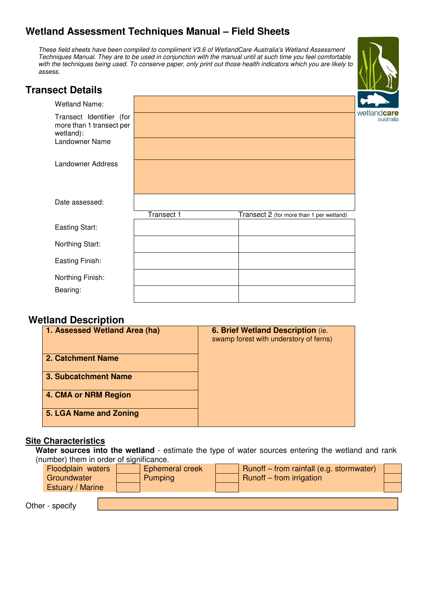# **Wetland Assessment Techniques Manual – Field Sheets**

These field sheets have been compiled to compliment V3.6 of WetlandCare Australia's Wetland Assessment Techniques Manual. They are to be used in conjunction with the manual until at such time you feel comfortable with the techniques being used. To conserve paper, only print out those health indicators which you are likely to assess.



## **Transect Details**

| <b>Wetland Name:</b>                                              |            |                                          |
|-------------------------------------------------------------------|------------|------------------------------------------|
| Transect Identifier (for<br>more than 1 transect per<br>wetland): |            |                                          |
| Landowner Name                                                    |            |                                          |
| Landowner Address                                                 |            |                                          |
|                                                                   |            |                                          |
| Date assessed:                                                    |            |                                          |
|                                                                   | Transect 1 | Transect 2 (for more than 1 per wetland) |
| <b>Easting Start:</b>                                             |            |                                          |
| Northing Start:                                                   |            |                                          |
| Easting Finish:                                                   |            |                                          |
| Northing Finish:                                                  |            |                                          |
| Bearing:                                                          |            |                                          |

#### **Wetland Description**

| 1. Assessed Wetland Area (ha) | 6. Brief Wetland Description (ie.<br>swamp forest with understory of ferns) |
|-------------------------------|-----------------------------------------------------------------------------|
| 2. Catchment Name             |                                                                             |
| <b>3. Subcatchment Name</b>   |                                                                             |
| 4. CMA or NRM Region          |                                                                             |
| 5. LGA Name and Zoning        |                                                                             |

#### **Site Characteristics**

**Water sources into the wetland** - estimate the type of water sources entering the wetland and rank (number) them in order of significance.

| Floodplain waters | <b>Ephemeral creek</b> | Runoff - from rainfall (e.g. stormwater) |  |
|-------------------|------------------------|------------------------------------------|--|
| Groundwater       | Pumping                | Runoff – from irrigation                 |  |
| Estuary / Marine  |                        |                                          |  |
|                   |                        |                                          |  |

Other - specify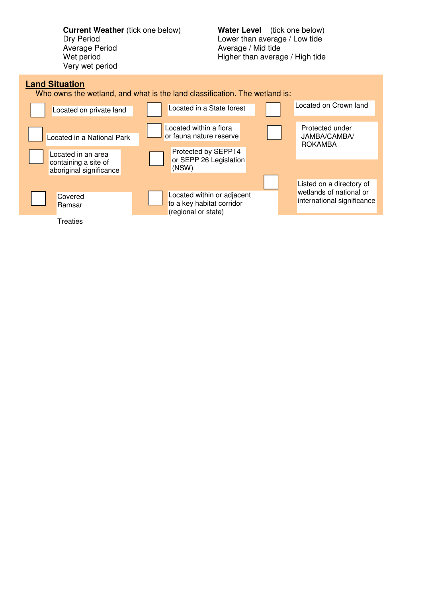**Current Weather** (tick one below) **Water Level** (tick one below)<br>Dry Period **Lower** than average / Low tide Average Period **Average / Mid tide**<br>
Wet period **Average / Mid tide**<br>
Higher than average Very wet period

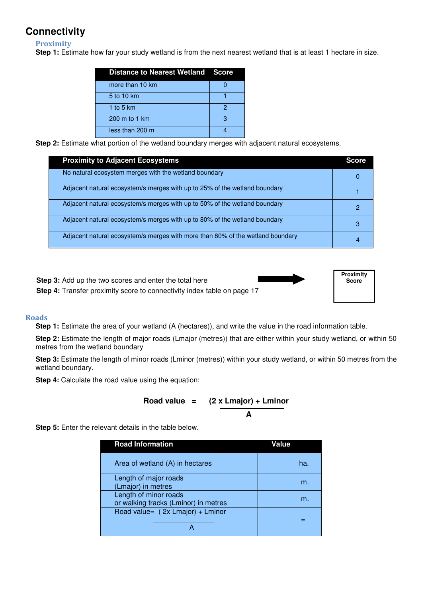# **Connectivity**

**Proximity** 

**Step 1:** Estimate how far your study wetland is from the next nearest wetland that is at least 1 hectare in size.

| <b>Distance to Nearest Wetland Score</b> |   |
|------------------------------------------|---|
| more than 10 km                          |   |
| 5 to 10 km                               |   |
| 1 to 5 $km$                              | 2 |
| $200 \text{ m}$ to 1 km                  | з |
| less than 200 m                          |   |

**Step 2:** Estimate what portion of the wetland boundary merges with adjacent natural ecosystems.

| <b>Proximity to Adjacent Ecosystems</b>                                        | <b>Score</b> |
|--------------------------------------------------------------------------------|--------------|
| No natural ecosystem merges with the wetland boundary                          |              |
| Adjacent natural ecosystem/s merges with up to 25% of the wetland boundary     |              |
| Adjacent natural ecosystem/s merges with up to 50% of the wetland boundary     |              |
| Adjacent natural ecosystem/s merges with up to 80% of the wetland boundary     | 3            |
| Adjacent natural ecosystem/s merges with more than 80% of the wetland boundary |              |

**Step 3:** Add up the two scores and enter the total here **Step 4:** Transfer proximity score to connectivity index table on page 17



#### **Roads**

**Step 1:** Estimate the area of your wetland (A (hectares)), and write the value in the road information table.

**Step 2:** Estimate the length of major roads (Lmajor (metres)) that are either within your study wetland, or within 50 metres from the wetland boundary

**Step 3:** Estimate the length of minor roads (Lminor (metres)) within your study wetland, or within 50 metres from the wetland boundary.

**Step 4:** Calculate the road value using the equation:

$$
Food value = (2 x Lmajor) + Lminor A
$$

**Step 5:** Enter the relevant details in the table below.

| <b>Road Information</b>                                       | Value |
|---------------------------------------------------------------|-------|
| Area of wetland (A) in hectares                               | ha.   |
| Length of major roads<br>(Lmajor) in metres                   | m.    |
| Length of minor roads<br>or walking tracks (Lminor) in metres | m.    |
| Road value= (2x Lmajor) + Lminor                              |       |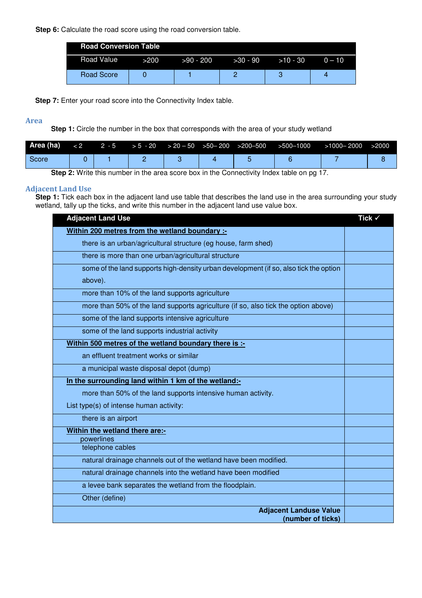**Step 6:** Calculate the road score using the road conversion table.

| <b>Road Conversion Table</b> |      |             |            |            |          |  |  |  |
|------------------------------|------|-------------|------------|------------|----------|--|--|--|
| Road Value                   | >200 | $>90 - 200$ | $>30 - 90$ | $>10 - 30$ | $0 - 10$ |  |  |  |
| Road Score                   |      |             |            |            |          |  |  |  |

**Step 7:** Enter your road score into the Connectivity Index table.

#### **Area**

**Step 1:** Circle the number in the box that corresponds with the area of your study wetland

| Score |  |  |  |
|-------|--|--|--|

 **Step 2:** Write this number in the area score box in the Connectivity Index table on pg 17.

#### **Adjacent Land Use**

**Step 1:** Tick each box in the adjacent land use table that describes the land use in the area surrounding your study wetland, tally up the ticks, and write this number in the adjacent land use value box.

| <b>Adjacent Land Use</b>                                                              | Tick $\checkmark$ |
|---------------------------------------------------------------------------------------|-------------------|
| Within 200 metres from the wetland boundary :-                                        |                   |
| there is an urban/agricultural structure (eg house, farm shed)                        |                   |
| there is more than one urban/agricultural structure                                   |                   |
| some of the land supports high-density urban development (if so, also tick the option |                   |
| above).                                                                               |                   |
| more than 10% of the land supports agriculture                                        |                   |
| more than 50% of the land supports agriculture (if so, also tick the option above)    |                   |
| some of the land supports intensive agriculture                                       |                   |
| some of the land supports industrial activity                                         |                   |
| Within 500 metres of the wetland boundary there is :-                                 |                   |
| an effluent treatment works or similar                                                |                   |
| a municipal waste disposal depot (dump)                                               |                   |
| In the surrounding land within 1 km of the wetland:-                                  |                   |
| more than 50% of the land supports intensive human activity.                          |                   |
| List type(s) of intense human activity:                                               |                   |
| there is an airport                                                                   |                   |
| Within the wetland there are:-                                                        |                   |
| powerlines                                                                            |                   |
| telephone cables                                                                      |                   |
| natural drainage channels out of the wetland have been modified.                      |                   |
| natural drainage channels into the wetland have been modified                         |                   |
| a levee bank separates the wetland from the floodplain.                               |                   |
| Other (define)                                                                        |                   |
| <b>Adjacent Landuse Value</b><br>(number of ticks)                                    |                   |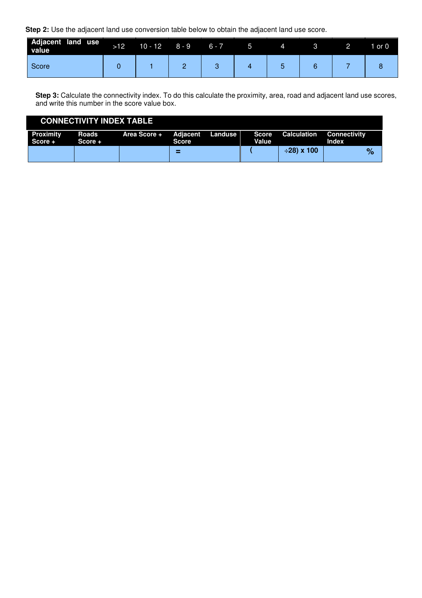**Step 2:** Use the adjacent land use conversion table below to obtain the adjacent land use score.

 $\overline{\phantom{a}}$ 

| Adjacent land use<br>value | $>12$ | $10 - 12$ | 8 - 9 | $6 - 7$ | 4 |  | or 0 |
|----------------------------|-------|-----------|-------|---------|---|--|------|
| Score                      |       |           | -     |         |   |  |      |

**Step 3:** Calculate the connectivity index. To do this calculate the proximity, area, road and adjacent land use scores, and write this number in the score value box.

| <b>CONNECTIVITY INDEX TABLE</b> |                  |                               |              |  |       |                   |                                     |  |  |
|---------------------------------|------------------|-------------------------------|--------------|--|-------|-------------------|-------------------------------------|--|--|
| <b>Proximity</b><br>Score +     | Roads<br>Score + | Area Score + Adiacent Landuse | <b>Score</b> |  | Value | Score Calculation | <b>Connectivity</b><br><b>Index</b> |  |  |
|                                 |                  |                               | ⋍            |  |       | <b>001 x 100⊹</b> | %                                   |  |  |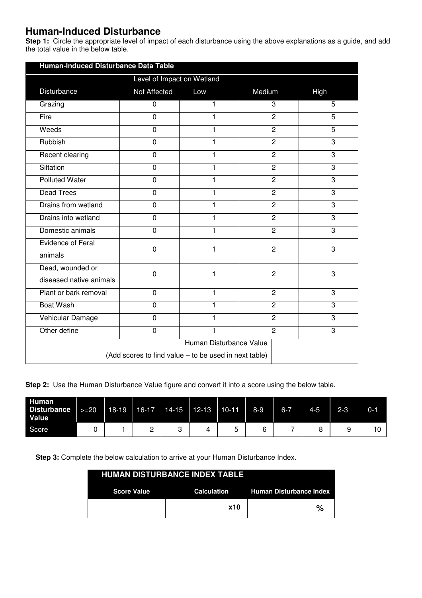# **Human-Induced Disturbance**

**Step 1:** Circle the appropriate level of impact of each disturbance using the above explanations as a guide, and add the total value in the below table.

| Human-Induced Disturbance Data Table                  |                            |                         |                |                |  |  |  |  |
|-------------------------------------------------------|----------------------------|-------------------------|----------------|----------------|--|--|--|--|
|                                                       | Level of Impact on Wetland |                         |                |                |  |  |  |  |
| Disturbance                                           | Not Affected               | Low                     | Medium         | High           |  |  |  |  |
| Grazing                                               | $\mathbf 0$                | 1                       | 3              | 5              |  |  |  |  |
| Fire                                                  | $\overline{0}$             | 1                       | $\overline{2}$ | $\overline{5}$ |  |  |  |  |
| Weeds                                                 | $\overline{0}$             | 1                       | $\overline{2}$ | $\overline{5}$ |  |  |  |  |
| Rubbish                                               | 0                          | 1                       | $\overline{c}$ | 3              |  |  |  |  |
| Recent clearing                                       | $\mathbf 0$                | 1                       | $\overline{2}$ | 3              |  |  |  |  |
| Siltation                                             | $\overline{0}$             | 1                       | $\overline{2}$ | 3              |  |  |  |  |
| <b>Polluted Water</b>                                 | $\mathbf 0$                | 1                       | $\overline{2}$ | 3              |  |  |  |  |
| <b>Dead Trees</b>                                     | $\overline{0}$             | 1                       | $\overline{2}$ | 3              |  |  |  |  |
| Drains from wetland                                   | $\overline{0}$             | 1                       | $\overline{2}$ | 3              |  |  |  |  |
| Drains into wetland                                   | $\mathbf 0$                | 1                       | $\overline{2}$ | 3              |  |  |  |  |
| Domestic animals                                      | $\mathbf 0$                | $\mathbf{1}$            | $\overline{2}$ | 3              |  |  |  |  |
| <b>Evidence of Feral</b><br>animals                   | $\mathbf 0$                | 1                       | $\overline{c}$ | 3              |  |  |  |  |
| Dead, wounded or<br>diseased native animals           | 0                          | 1                       | $\overline{c}$ | 3              |  |  |  |  |
| Plant or bark removal                                 | 0                          | 1                       | $\overline{c}$ | 3              |  |  |  |  |
| <b>Boat Wash</b>                                      | $\overline{0}$             | 1                       | $\overline{2}$ | 3              |  |  |  |  |
| Vehicular Damage                                      | $\mathbf 0$                | 1                       | $\overline{2}$ | 3              |  |  |  |  |
| Other define                                          | 0                          | 1                       | $\overline{2}$ | 3              |  |  |  |  |
|                                                       |                            | Human Disturbance Value |                |                |  |  |  |  |
| (Add scores to find value – to be used in next table) |                            |                         |                |                |  |  |  |  |

**Step 2:** Use the Human Disturbance Value figure and convert it into a score using the below table.

| Human<br>Disturbance<br><b>Value</b> | $>=20$ | $18-19$ | $16-17$ | $14 - 15$ | $12-13$ | $10-11$ | $8-9$ | $6 - 7$ | $4 - 5$ | $2 - 3$ | $0 - 1$ |
|--------------------------------------|--------|---------|---------|-----------|---------|---------|-------|---------|---------|---------|---------|
| Score                                |        |         | -       |           | 4       | ∽       | ь     | -       |         |         |         |

**Step 3:** Complete the below calculation to arrive at your Human Disturbance Index.

|                                                           | <b>HUMAN DISTURBANCE INDEX TABLE</b> |   |  |  |  |  |  |  |  |  |  |  |
|-----------------------------------------------------------|--------------------------------------|---|--|--|--|--|--|--|--|--|--|--|
| Calculation Human Disturbance Index<br><b>Score Value</b> |                                      |   |  |  |  |  |  |  |  |  |  |  |
|                                                           | <b>x10</b>                           | % |  |  |  |  |  |  |  |  |  |  |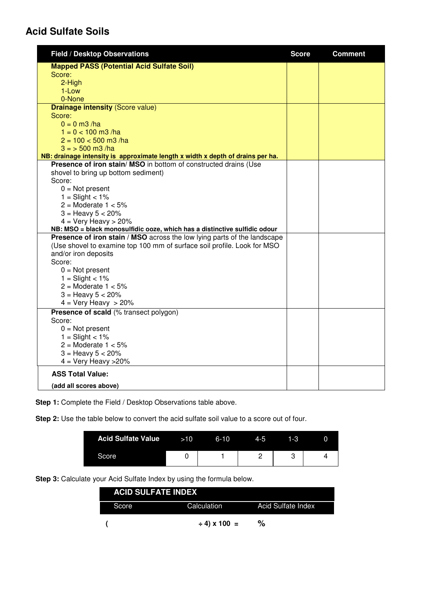# **Acid Sulfate Soils**

| <b>Field / Desktop Observations</b>                                                                | <b>Score</b> | <b>Comment</b> |
|----------------------------------------------------------------------------------------------------|--------------|----------------|
| <b>Mapped PASS (Potential Acid Sulfate Soil)</b>                                                   |              |                |
| Score:                                                                                             |              |                |
| 2-High                                                                                             |              |                |
| 1-Low                                                                                              |              |                |
| 0-None                                                                                             |              |                |
| <b>Drainage intensity (Score value)</b>                                                            |              |                |
| Score:                                                                                             |              |                |
| $0 = 0$ m3/ha                                                                                      |              |                |
| $1 = 0 < 100$ m3/ha                                                                                |              |                |
| $2 = 100 < 500$ m3/ha                                                                              |              |                |
| $3 = 500$ m3 /ha<br>NB: drainage intensity is approximate length x width x depth of drains per ha. |              |                |
| Presence of iron stain/ MSO in bottom of constructed drains (Use                                   |              |                |
| shovel to bring up bottom sediment)                                                                |              |                |
| Score:                                                                                             |              |                |
| $0 = Not present$                                                                                  |              |                |
| $1 =$ Slight < $1\%$                                                                               |              |                |
| $2 =$ Moderate $1 < 5\%$                                                                           |              |                |
| $3 =$ Heavy $5 < 20\%$                                                                             |              |                |
| $4 = Very Heavy > 20%$                                                                             |              |                |
| NB: MSO = black monosulfidic ooze, which has a distinctive sulfidic odour                          |              |                |
| Presence of iron stain / MSO across the low lying parts of the landscape                           |              |                |
| (Use shovel to examine top 100 mm of surface soil profile. Look for MSO                            |              |                |
| and/or iron deposits                                                                               |              |                |
| Score:                                                                                             |              |                |
| $0 = Not present$                                                                                  |              |                |
| $1 =$ Slight < 1%                                                                                  |              |                |
| $2 =$ Moderate $1 < 5\%$                                                                           |              |                |
| $3 =$ Heavy $5 < 20\%$                                                                             |              |                |
| $4 = \text{Very Heavy } > 20\%$                                                                    |              |                |
| <b>Presence of scald (% transect polygon)</b>                                                      |              |                |
| Score:                                                                                             |              |                |
| $0 = Not present$<br>$1 =$ Slight < 1%                                                             |              |                |
| $2 =$ Moderate $1 < 5\%$                                                                           |              |                |
| $3 =$ Heavy $5 < 20\%$                                                                             |              |                |
| $4 =$ Very Heavy > 20%                                                                             |              |                |
| <b>ASS Total Value:</b>                                                                            |              |                |
| (add all scores above)                                                                             |              |                |

**Step 1:** Complete the Field / Desktop Observations table above.

**Step 2:** Use the table below to convert the acid sulfate soil value to a score out of four.

| <b>Acid Sulfate Value</b> | >10 | $6 - 10$ | $4 - 5$ | 1-3 |  |
|---------------------------|-----|----------|---------|-----|--|
| Score                     |     |          |         |     |  |

**Step 3:** Calculate your Acid Sulfate Index by using the formula below.

| <b>ACID SULFATE INDEX</b> |                   |                    |
|---------------------------|-------------------|--------------------|
| Score                     | Calculation       | Acid Sulfate Index |
|                           | $\div$ 4) x 100 = | %                  |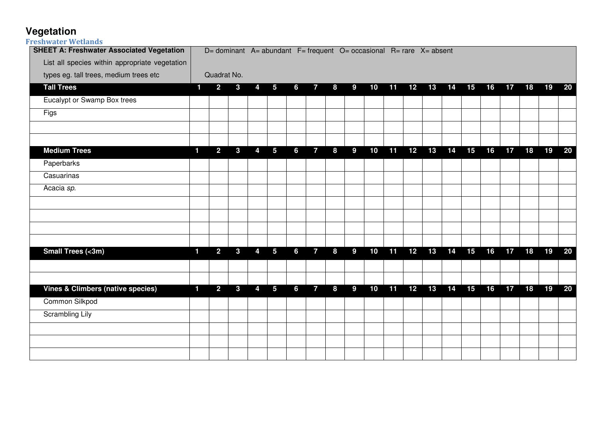# **Vegetation Freshwater Wetlands**

| <b>SHEET A: Freshwater Associated Vegetation</b> |                |                |              |                |                 | $D=$ dominant A= abundant F= frequent O= occasional R= rare X= absent |                |   |   |    |    |    |    |    |    |    |    |    |    |        |
|--------------------------------------------------|----------------|----------------|--------------|----------------|-----------------|-----------------------------------------------------------------------|----------------|---|---|----|----|----|----|----|----|----|----|----|----|--------|
| List all species within appropriate vegetation   |                |                |              |                |                 |                                                                       |                |   |   |    |    |    |    |    |    |    |    |    |    |        |
| types eg. tall trees, medium trees etc           |                | Quadrat No.    |              |                |                 |                                                                       |                |   |   |    |    |    |    |    |    |    |    |    |    |        |
| <b>Tall Trees</b>                                | 1              | 2 <sup>1</sup> | $\mathbf{3}$ | 4              | 5               | 6                                                                     | $\overline{7}$ | 8 | 9 | 10 | 11 | 12 | 13 | 14 | 15 | 16 | 17 | 18 | 19 | 20     |
| Eucalypt or Swamp Box trees                      |                |                |              |                |                 |                                                                       |                |   |   |    |    |    |    |    |    |    |    |    |    |        |
| Figs                                             |                |                |              |                |                 |                                                                       |                |   |   |    |    |    |    |    |    |    |    |    |    |        |
|                                                  |                |                |              |                |                 |                                                                       |                |   |   |    |    |    |    |    |    |    |    |    |    |        |
| <b>Medium Trees</b>                              | 1              | $\overline{2}$ | $\mathbf{3}$ | $\overline{4}$ | $5\phantom{.0}$ | 6                                                                     | $\overline{7}$ | 8 | 9 | 10 | 11 | 12 | 13 | 14 | 15 | 16 | 17 | 18 | 19 | 20     |
| Paperbarks                                       |                |                |              |                |                 |                                                                       |                |   |   |    |    |    |    |    |    |    |    |    |    |        |
| Casuarinas                                       |                |                |              |                |                 |                                                                       |                |   |   |    |    |    |    |    |    |    |    |    |    |        |
| Acacia sp.                                       |                |                |              |                |                 |                                                                       |                |   |   |    |    |    |    |    |    |    |    |    |    |        |
|                                                  |                |                |              |                |                 |                                                                       |                |   |   |    |    |    |    |    |    |    |    |    |    |        |
|                                                  |                |                |              |                |                 |                                                                       |                |   |   |    |    |    |    |    |    |    |    |    |    |        |
|                                                  |                |                |              |                |                 |                                                                       |                |   |   |    |    |    |    |    |    |    |    |    |    |        |
|                                                  |                |                |              |                |                 |                                                                       |                |   |   |    |    |    |    |    |    |    |    |    |    |        |
| Small Trees (<3m)                                | $\blacksquare$ | $\overline{2}$ | $\mathbf{3}$ | 4              | $5\phantom{.0}$ | $6\phantom{a}$                                                        | $\overline{7}$ | 8 | 9 | 10 | 11 | 12 | 13 | 14 | 15 | 16 | 17 | 18 | 19 | 20     |
|                                                  |                |                |              |                |                 |                                                                       |                |   |   |    |    |    |    |    |    |    |    |    |    |        |
|                                                  |                |                |              |                |                 |                                                                       |                |   |   |    |    |    |    |    |    |    |    |    |    |        |
| <b>Vines &amp; Climbers (native species)</b>     | 1              | 2 <sup>1</sup> | $\mathbf{3}$ | 4              | 5               | 6                                                                     | $\overline{7}$ | 8 | 9 | 10 | 11 | 12 | 13 | 14 | 15 | 16 | 17 | 18 | 19 | $20\,$ |
| Common Silkpod                                   |                |                |              |                |                 |                                                                       |                |   |   |    |    |    |    |    |    |    |    |    |    |        |
| Scrambling Lily                                  |                |                |              |                |                 |                                                                       |                |   |   |    |    |    |    |    |    |    |    |    |    |        |
|                                                  |                |                |              |                |                 |                                                                       |                |   |   |    |    |    |    |    |    |    |    |    |    |        |
|                                                  |                |                |              |                |                 |                                                                       |                |   |   |    |    |    |    |    |    |    |    |    |    |        |
|                                                  |                |                |              |                |                 |                                                                       |                |   |   |    |    |    |    |    |    |    |    |    |    |        |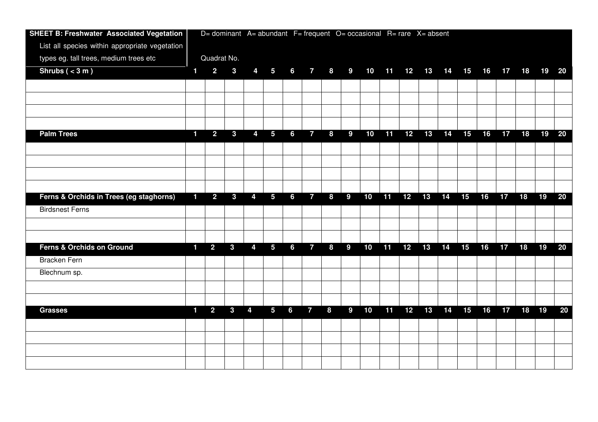| <b>SHEET B: Freshwater Associated Vegetation</b> | D= dominant A= abundant F= frequent O= occasional R= rare X= absent |                |                |   |                 |                 |                |   |             |    |    |    |    |    |    |    |    |       |                                  |        |
|--------------------------------------------------|---------------------------------------------------------------------|----------------|----------------|---|-----------------|-----------------|----------------|---|-------------|----|----|----|----|----|----|----|----|-------|----------------------------------|--------|
| List all species within appropriate vegetation   |                                                                     |                |                |   |                 |                 |                |   |             |    |    |    |    |    |    |    |    |       |                                  |        |
| types eg. tall trees, medium trees etc           |                                                                     | Quadrat No.    |                |   |                 |                 |                |   |             |    |    |    |    |    |    |    |    |       |                                  |        |
| Shrubs $(3 \, \text{m})$                         | 1                                                                   | $\overline{2}$ | $\mathbf{3}$   | 4 | $5\overline{)}$ | $6\overline{6}$ | $\overline{7}$ | 8 | $9^{\circ}$ |    |    |    |    |    |    |    |    |       | 10 11 12 13 14 15 16 17 18 19 20 |        |
|                                                  |                                                                     |                |                |   |                 |                 |                |   |             |    |    |    |    |    |    |    |    |       |                                  |        |
|                                                  |                                                                     |                |                |   |                 |                 |                |   |             |    |    |    |    |    |    |    |    |       |                                  |        |
|                                                  |                                                                     |                |                |   |                 |                 |                |   |             |    |    |    |    |    |    |    |    |       |                                  |        |
|                                                  |                                                                     |                |                |   |                 |                 |                |   |             |    |    |    |    |    |    |    |    |       |                                  |        |
| <b>Palm Trees</b>                                | $\mathbf{1}$                                                        | $\overline{2}$ | $\mathbf{3}$   | 4 | $5\phantom{.0}$ | 6               | $\overline{7}$ | 8 | 9           | 10 | 11 | 12 | 13 | 14 | 15 | 16 | 17 | 18    | 19                               | 20     |
|                                                  |                                                                     |                |                |   |                 |                 |                |   |             |    |    |    |    |    |    |    |    |       |                                  |        |
|                                                  |                                                                     |                |                |   |                 |                 |                |   |             |    |    |    |    |    |    |    |    |       |                                  |        |
|                                                  |                                                                     |                |                |   |                 |                 |                |   |             |    |    |    |    |    |    |    |    |       |                                  |        |
|                                                  |                                                                     |                |                |   |                 |                 |                |   |             |    |    |    |    |    |    |    |    |       |                                  |        |
| Ferns & Orchids in Trees (eg staghorns)          | $\blacksquare$                                                      | $\overline{2}$ | $\overline{3}$ | 4 | $5\phantom{.0}$ | $6\phantom{a}$  | $\overline{7}$ | 8 | 9           | 10 | 11 | 12 | 13 | 14 | 15 | 16 | 17 | 18    | 19                               | 20     |
| <b>Birdsnest Ferns</b>                           |                                                                     |                |                |   |                 |                 |                |   |             |    |    |    |    |    |    |    |    |       |                                  |        |
|                                                  |                                                                     |                |                |   |                 |                 |                |   |             |    |    |    |    |    |    |    |    |       |                                  |        |
|                                                  |                                                                     |                |                |   |                 |                 |                |   |             |    |    |    |    |    |    |    |    |       |                                  |        |
| <b>Ferns &amp; Orchids on Ground</b>             | $\blacksquare$                                                      | $\overline{2}$ | $\mathbf{3}$   | 4 | $5\phantom{.0}$ | $6\phantom{a}$  | $\overline{7}$ | 8 | 9           | 10 | 11 | 12 | 13 | 14 | 15 | 16 | 17 | 18    | 19                               | 20     |
| <b>Bracken Fern</b>                              |                                                                     |                |                |   |                 |                 |                |   |             |    |    |    |    |    |    |    |    |       |                                  |        |
| Blechnum sp.                                     |                                                                     |                |                |   |                 |                 |                |   |             |    |    |    |    |    |    |    |    |       |                                  |        |
|                                                  |                                                                     |                |                |   |                 |                 |                |   |             |    |    |    |    |    |    |    |    |       |                                  |        |
|                                                  |                                                                     |                |                |   |                 |                 |                |   |             |    |    |    |    |    |    |    |    |       |                                  |        |
| <b>Grasses</b>                                   | $\blacksquare$                                                      | $\overline{2}$ | $\mathbf{3}$   | 4 | 5               | $6\phantom{a}$  | $\overline{7}$ | 8 | 9           | 10 | 11 | 12 | 13 | 14 | 15 | 16 | 17 | 18 19 |                                  | $20\,$ |
|                                                  |                                                                     |                |                |   |                 |                 |                |   |             |    |    |    |    |    |    |    |    |       |                                  |        |
|                                                  |                                                                     |                |                |   |                 |                 |                |   |             |    |    |    |    |    |    |    |    |       |                                  |        |
|                                                  |                                                                     |                |                |   |                 |                 |                |   |             |    |    |    |    |    |    |    |    |       |                                  |        |
|                                                  |                                                                     |                |                |   |                 |                 |                |   |             |    |    |    |    |    |    |    |    |       |                                  |        |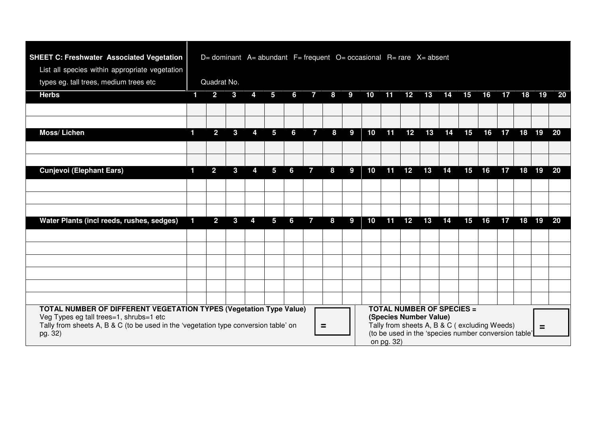| <b>SHEET C: Freshwater Associated Vegetation</b><br>List all species within appropriate vegetation                                                                                                                                                                                                                                                                                                                            | D= dominant $A=$ abundant $F=$ frequent $O=$ occasional $R=$ rare $X=$ absent |                |              |   |   |   |              |   |   |    |    |                 |                |    |    |    |    |       |    |
|-------------------------------------------------------------------------------------------------------------------------------------------------------------------------------------------------------------------------------------------------------------------------------------------------------------------------------------------------------------------------------------------------------------------------------|-------------------------------------------------------------------------------|----------------|--------------|---|---|---|--------------|---|---|----|----|-----------------|----------------|----|----|----|----|-------|----|
| types eg. tall trees, medium trees etc                                                                                                                                                                                                                                                                                                                                                                                        |                                                                               | Quadrat No.    |              |   |   |   |              |   |   |    |    |                 |                |    |    |    |    |       |    |
| <b>Herbs</b>                                                                                                                                                                                                                                                                                                                                                                                                                  | 1                                                                             | $\overline{2}$ | 3            | 4 | 5 | 6 | $\mathbf{7}$ | 8 | 9 | 10 |    |                 | 11  12  13  14 |    | 15 | 16 | 17 | 18 19 | 20 |
|                                                                                                                                                                                                                                                                                                                                                                                                                               |                                                                               |                |              |   |   |   |              |   |   |    |    |                 |                |    |    |    |    |       |    |
|                                                                                                                                                                                                                                                                                                                                                                                                                               |                                                                               |                |              |   |   |   |              |   |   |    |    |                 |                |    |    |    |    |       |    |
| Moss/Lichen                                                                                                                                                                                                                                                                                                                                                                                                                   | 1                                                                             | $\overline{2}$ | $\mathbf{3}$ | 4 | 5 | 6 | 7            | 8 | 9 | 10 | 11 | 12 <sub>2</sub> | 13             | 14 | 15 | 16 | 17 | 18 19 | 20 |
|                                                                                                                                                                                                                                                                                                                                                                                                                               |                                                                               |                |              |   |   |   |              |   |   |    |    |                 |                |    |    |    |    |       |    |
|                                                                                                                                                                                                                                                                                                                                                                                                                               |                                                                               |                |              |   |   |   |              |   |   |    |    |                 |                |    |    |    |    |       |    |
| <b>Cunjevoi (Elephant Ears)</b>                                                                                                                                                                                                                                                                                                                                                                                               | 1.                                                                            | 2 <sup>1</sup> | $\mathbf{3}$ | 4 | 5 | 6 | 7            | 8 | 9 | 10 | 11 | 12              | 13             | 14 | 15 | 16 | 17 | 18 19 | 20 |
|                                                                                                                                                                                                                                                                                                                                                                                                                               |                                                                               |                |              |   |   |   |              |   |   |    |    |                 |                |    |    |    |    |       |    |
|                                                                                                                                                                                                                                                                                                                                                                                                                               |                                                                               |                |              |   |   |   |              |   |   |    |    |                 |                |    |    |    |    |       |    |
|                                                                                                                                                                                                                                                                                                                                                                                                                               |                                                                               |                |              |   |   |   |              |   |   |    |    |                 |                |    |    |    |    |       |    |
| Water Plants (incl reeds, rushes, sedges)                                                                                                                                                                                                                                                                                                                                                                                     | 1                                                                             | $\overline{2}$ | 3            | 4 | 5 | 6 | $\mathbf{7}$ | 8 | 9 | 10 | 11 | 12              | 13             | 14 | 15 | 16 | 17 | 18 19 | 20 |
|                                                                                                                                                                                                                                                                                                                                                                                                                               |                                                                               |                |              |   |   |   |              |   |   |    |    |                 |                |    |    |    |    |       |    |
|                                                                                                                                                                                                                                                                                                                                                                                                                               |                                                                               |                |              |   |   |   |              |   |   |    |    |                 |                |    |    |    |    |       |    |
|                                                                                                                                                                                                                                                                                                                                                                                                                               |                                                                               |                |              |   |   |   |              |   |   |    |    |                 |                |    |    |    |    |       |    |
|                                                                                                                                                                                                                                                                                                                                                                                                                               |                                                                               |                |              |   |   |   |              |   |   |    |    |                 |                |    |    |    |    |       |    |
|                                                                                                                                                                                                                                                                                                                                                                                                                               |                                                                               |                |              |   |   |   |              |   |   |    |    |                 |                |    |    |    |    |       |    |
|                                                                                                                                                                                                                                                                                                                                                                                                                               |                                                                               |                |              |   |   |   |              |   |   |    |    |                 |                |    |    |    |    |       |    |
| <b>TOTAL NUMBER OF SPECIES =</b><br><b>TOTAL NUMBER OF DIFFERENT VEGETATION TYPES (Vegetation Type Value)</b><br>Veg Types eg tall trees=1, shrubs=1 etc<br>(Species Number Value)<br>Tally from sheets A, B & C (excluding Weeds)<br>Tally from sheets A, B & C (to be used in the 'vegetation type conversion table' on<br>$=$<br>$\equiv$<br>(to be used in the 'species number conversion table'<br>pg. 32)<br>on pg. 32) |                                                                               |                |              |   |   |   |              |   |   |    |    |                 |                |    |    |    |    |       |    |

**START START**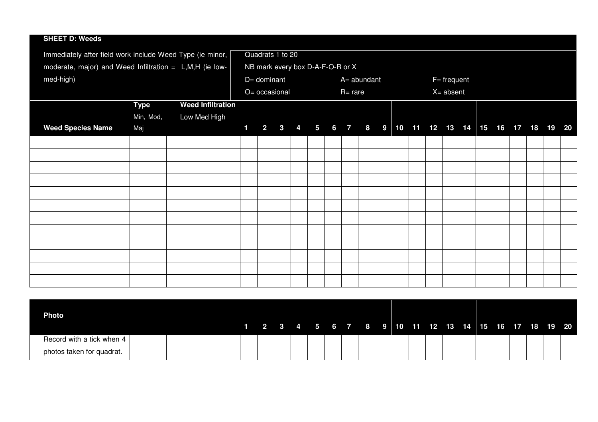| <b>SHEET D: Weeds</b>                                     |             |                          |                |                                  |  |  |            |             |  |  |                 |  |  |                                                  |  |
|-----------------------------------------------------------|-------------|--------------------------|----------------|----------------------------------|--|--|------------|-------------|--|--|-----------------|--|--|--------------------------------------------------|--|
| Immediately after field work include Weed Type (ie minor, |             |                          |                | Quadrats 1 to 20                 |  |  |            |             |  |  |                 |  |  |                                                  |  |
| moderate, major) and Weed Infiltration = L,M,H (ie low-   |             |                          |                | NB mark every box D-A-F-O-R or X |  |  |            |             |  |  |                 |  |  |                                                  |  |
| med-high)                                                 |             |                          |                | D= dominant                      |  |  |            | A= abundant |  |  | $F = frequency$ |  |  |                                                  |  |
|                                                           |             |                          |                | O= occasional                    |  |  | $R = rare$ |             |  |  | $X = absent$    |  |  |                                                  |  |
|                                                           | <b>Type</b> | <b>Weed Infiltration</b> |                |                                  |  |  |            |             |  |  |                 |  |  |                                                  |  |
|                                                           | Min, Mod,   | Low Med High             |                |                                  |  |  |            |             |  |  |                 |  |  |                                                  |  |
| <b>Weed Species Name</b>                                  | Maj         |                          | $\blacksquare$ |                                  |  |  |            |             |  |  |                 |  |  | 2 3 4 5 6 7 8 9 10 11 12 13 14 15 16 17 18 19 20 |  |
|                                                           |             |                          |                |                                  |  |  |            |             |  |  |                 |  |  |                                                  |  |
|                                                           |             |                          |                |                                  |  |  |            |             |  |  |                 |  |  |                                                  |  |
|                                                           |             |                          |                |                                  |  |  |            |             |  |  |                 |  |  |                                                  |  |
|                                                           |             |                          |                |                                  |  |  |            |             |  |  |                 |  |  |                                                  |  |
|                                                           |             |                          |                |                                  |  |  |            |             |  |  |                 |  |  |                                                  |  |
|                                                           |             |                          |                |                                  |  |  |            |             |  |  |                 |  |  |                                                  |  |
|                                                           |             |                          |                |                                  |  |  |            |             |  |  |                 |  |  |                                                  |  |
|                                                           |             |                          |                |                                  |  |  |            |             |  |  |                 |  |  |                                                  |  |
|                                                           |             |                          |                |                                  |  |  |            |             |  |  |                 |  |  |                                                  |  |
|                                                           |             |                          |                |                                  |  |  |            |             |  |  |                 |  |  |                                                  |  |
|                                                           |             |                          |                |                                  |  |  |            |             |  |  |                 |  |  |                                                  |  |
|                                                           |             |                          |                |                                  |  |  |            |             |  |  |                 |  |  |                                                  |  |

| <b>Photo</b>              |  |  |  |  | 1 2 3 4 5 6 7 8 9 10 11 12 13 14 15 16 17 18 19 20 |  |  |  |  |  |  |
|---------------------------|--|--|--|--|----------------------------------------------------|--|--|--|--|--|--|
| Record with a tick when 4 |  |  |  |  |                                                    |  |  |  |  |  |  |
| photos taken for quadrat. |  |  |  |  |                                                    |  |  |  |  |  |  |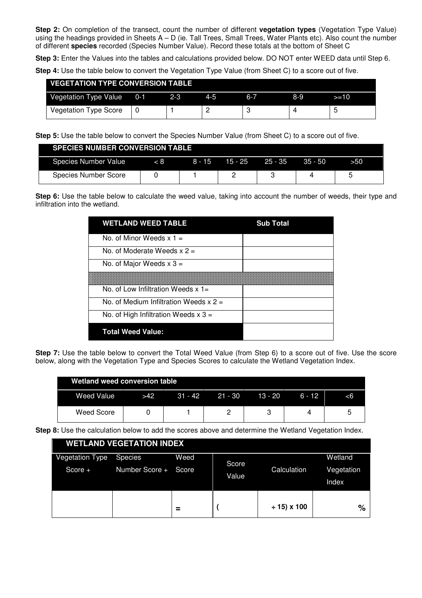**Step 2:** On completion of the transect, count the number of different **vegetation types** (Vegetation Type Value) using the headings provided in Sheets  $A - D$  (ie. Tall Trees, Small Trees, Water Plants etc). Also count the number of different **species** recorded (Species Number Value). Record these totals at the bottom of Sheet C

**Step 3:** Enter the Values into the tables and calculations provided below. DO NOT enter WEED data until Step 6.

**Step 4:** Use the table below to convert the Vegetation Type Value (from Sheet C) to a score out of five.

| <b>VEGETATION TYPE CONVERSION TABLE</b> |        |         |         |     |      |
|-----------------------------------------|--------|---------|---------|-----|------|
| Vegetation Type Value 0-1               | $-2-3$ | $4 - 5$ | $6 - 7$ | 8-9 | >=10 |
| <b>Vegetation Type Score</b>            |        |         |         |     |      |

**Step 5:** Use the table below to convert the Species Number Value (from Sheet C) to a score out of five.

| <b>SPECIES NUMBER CONVERSION TABLE</b> |          |         |           |           |     |
|----------------------------------------|----------|---------|-----------|-----------|-----|
| Species Number Value                   | $8 - 15$ | 15 - 25 | $25 - 35$ | $35 - 50$ | 550 |
| <b>Species Number Score</b>            |          |         |           |           |     |

**Step 6:** Use the table below to calculate the weed value, taking into account the number of weeds, their type and infiltration into the wetland.

| <b>WETLAND WEED TABLE</b>              | <b>Sub Total</b> |
|----------------------------------------|------------------|
| No. of Minor Weeds $x 1 =$             |                  |
| No. of Moderate Weeds $x =$            |                  |
| No. of Major Weeds $x$ 3 =             |                  |
|                                        |                  |
| No. of Low Infiltration Weeds $x =$    |                  |
| No. of Medium Infiltration Weeds $x =$ |                  |
| No. of High Infiltration Weeds $x$ 3 = |                  |
| <b>Total Weed Value:</b>               |                  |

**Step 7:** Use the table below to convert the Total Weed Value (from Step 6) to a score out of five. Use the score below, along with the Vegetation Type and Species Scores to calculate the Wetland Vegetation Index.

| <b>Wetland weed conversion table</b> |            |           |         |         |          |    |
|--------------------------------------|------------|-----------|---------|---------|----------|----|
| Weed Value                           | <b>S42</b> | $31 - 42$ | 21 - 30 | 13 - 20 | $6 - 12$ | -6 |
| Weed Score                           |            |           |         |         |          |    |

**Step 8:** Use the calculation below to add the scores above and determine the Wetland Vegetation Index.

|                        | <b>WETLAND VEGETATION INDEX</b> |        |       |                |            |
|------------------------|---------------------------------|--------|-------|----------------|------------|
| <b>Vegetation Type</b> | Species                         | Weed   | Score |                | Wetland    |
| $Score +$              | Number Score +                  | Score  | Value | Calculation    | Vegetation |
|                        |                                 |        |       |                | Index      |
|                        |                                 |        |       |                |            |
|                        |                                 | -<br>- |       | $± 15$ ) x 100 | $\%$       |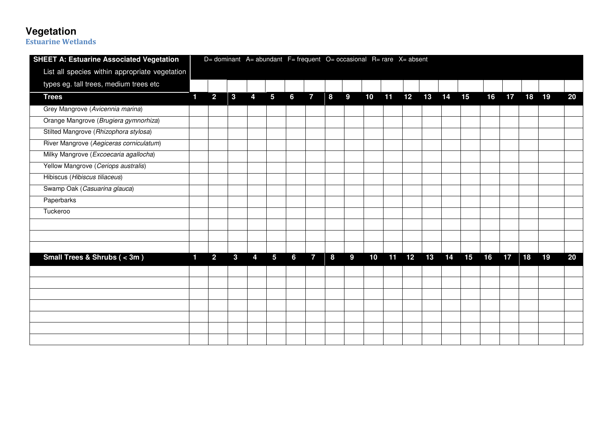**Vegetation Estuarine Wetlands** 

| <b>SHEET A: Estuarine Associated Vegetation</b> |   |                |              |   | D= dominant A= abundant F= frequent O= occasional R= rare X= absent |   |                |   |   |    |    |    |       |    |    |    |    |    |       |    |
|-------------------------------------------------|---|----------------|--------------|---|---------------------------------------------------------------------|---|----------------|---|---|----|----|----|-------|----|----|----|----|----|-------|----|
| List all species within appropriate vegetation  |   |                |              |   |                                                                     |   |                |   |   |    |    |    |       |    |    |    |    |    |       |    |
| types eg. tall trees, medium trees etc          |   |                |              |   |                                                                     |   |                |   |   |    |    |    |       |    |    |    |    |    |       |    |
| <b>Trees</b>                                    | 1 | $\overline{2}$ | $\mathbf{3}$ | 4 | 5                                                                   | 6 | $\mathbf{7}$   | 8 | 9 | 10 | 11 | 12 | 13 14 |    | 15 | 16 | 17 |    | 18 19 | 20 |
| Grey Mangrove (Avicennia marina)                |   |                |              |   |                                                                     |   |                |   |   |    |    |    |       |    |    |    |    |    |       |    |
| Orange Mangrove (Brugiera gymnorhiza)           |   |                |              |   |                                                                     |   |                |   |   |    |    |    |       |    |    |    |    |    |       |    |
| Stilted Mangrove (Rhizophora stylosa)           |   |                |              |   |                                                                     |   |                |   |   |    |    |    |       |    |    |    |    |    |       |    |
| River Mangrove (Aegiceras corniculatum)         |   |                |              |   |                                                                     |   |                |   |   |    |    |    |       |    |    |    |    |    |       |    |
| Milky Mangrove (Excoecaria agallocha)           |   |                |              |   |                                                                     |   |                |   |   |    |    |    |       |    |    |    |    |    |       |    |
| Yellow Mangrove (Ceriops australis)             |   |                |              |   |                                                                     |   |                |   |   |    |    |    |       |    |    |    |    |    |       |    |
| Hibiscus (Hibiscus tiliaceus)                   |   |                |              |   |                                                                     |   |                |   |   |    |    |    |       |    |    |    |    |    |       |    |
| Swamp Oak (Casuarina glauca)                    |   |                |              |   |                                                                     |   |                |   |   |    |    |    |       |    |    |    |    |    |       |    |
| Paperbarks                                      |   |                |              |   |                                                                     |   |                |   |   |    |    |    |       |    |    |    |    |    |       |    |
| Tuckeroo                                        |   |                |              |   |                                                                     |   |                |   |   |    |    |    |       |    |    |    |    |    |       |    |
|                                                 |   |                |              |   |                                                                     |   |                |   |   |    |    |    |       |    |    |    |    |    |       |    |
|                                                 |   |                |              |   |                                                                     |   |                |   |   |    |    |    |       |    |    |    |    |    |       |    |
|                                                 |   |                |              |   |                                                                     |   |                |   |   |    |    |    |       |    |    |    |    |    |       |    |
| Small Trees & Shrubs ( $<$ 3m)                  | 1 | $\overline{2}$ | $\mathbf{3}$ | 4 | 5                                                                   | 6 | $\overline{7}$ | 8 | 9 | 10 | 11 | 12 | 13    | 14 | 15 | 16 | 17 | 18 | 19    | 20 |
|                                                 |   |                |              |   |                                                                     |   |                |   |   |    |    |    |       |    |    |    |    |    |       |    |
|                                                 |   |                |              |   |                                                                     |   |                |   |   |    |    |    |       |    |    |    |    |    |       |    |
|                                                 |   |                |              |   |                                                                     |   |                |   |   |    |    |    |       |    |    |    |    |    |       |    |
|                                                 |   |                |              |   |                                                                     |   |                |   |   |    |    |    |       |    |    |    |    |    |       |    |
|                                                 |   |                |              |   |                                                                     |   |                |   |   |    |    |    |       |    |    |    |    |    |       |    |
|                                                 |   |                |              |   |                                                                     |   |                |   |   |    |    |    |       |    |    |    |    |    |       |    |
|                                                 |   |                |              |   |                                                                     |   |                |   |   |    |    |    |       |    |    |    |    |    |       |    |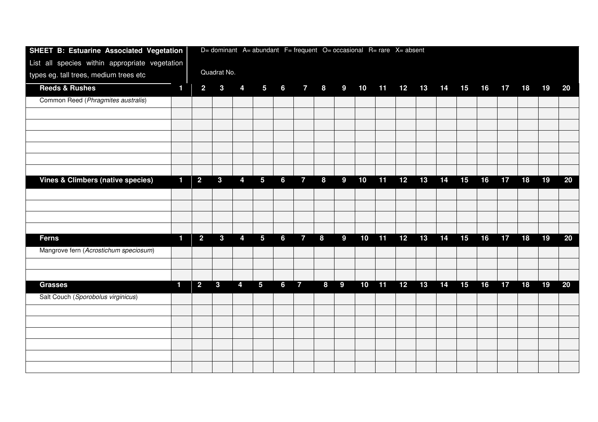| SHEET B: Estuarine Associated Vegetation       |                |                |                |                |                 |                |                |   |                  |    |    | D= dominant A= abundant F= frequent O= occasional R= rare X= absent |       |    |    |    |    |    |    |    |
|------------------------------------------------|----------------|----------------|----------------|----------------|-----------------|----------------|----------------|---|------------------|----|----|---------------------------------------------------------------------|-------|----|----|----|----|----|----|----|
| List all species within appropriate vegetation |                |                |                |                |                 |                |                |   |                  |    |    |                                                                     |       |    |    |    |    |    |    |    |
| types eg. tall trees, medium trees etc         |                |                | Quadrat No.    |                |                 |                |                |   |                  |    |    |                                                                     |       |    |    |    |    |    |    |    |
| <b>Reeds &amp; Rushes</b>                      | $\blacksquare$ | $\overline{2}$ | $\mathbf{3}$   | 4              | $5\phantom{.0}$ | $6\phantom{a}$ | $7^{\circ}$    | 8 | 9                | 10 | 11 | 12                                                                  | 13 14 |    | 15 | 16 | 17 | 18 | 19 | 20 |
| Common Reed (Phragmites australis)             |                |                |                |                |                 |                |                |   |                  |    |    |                                                                     |       |    |    |    |    |    |    |    |
|                                                |                |                |                |                |                 |                |                |   |                  |    |    |                                                                     |       |    |    |    |    |    |    |    |
|                                                |                |                |                |                |                 |                |                |   |                  |    |    |                                                                     |       |    |    |    |    |    |    |    |
|                                                |                |                |                |                |                 |                |                |   |                  |    |    |                                                                     |       |    |    |    |    |    |    |    |
|                                                |                |                |                |                |                 |                |                |   |                  |    |    |                                                                     |       |    |    |    |    |    |    |    |
|                                                |                |                |                |                |                 |                |                |   |                  |    |    |                                                                     |       |    |    |    |    |    |    |    |
|                                                |                |                |                |                |                 |                |                |   |                  |    |    |                                                                     |       |    |    |    |    |    |    |    |
| <b>Vines &amp; Climbers (native species)</b>   | 1              | $\overline{2}$ | $\overline{3}$ | $\overline{4}$ | $5\phantom{.0}$ | 6              | $\overline{7}$ | 8 | $\boldsymbol{9}$ | 10 | 11 | 12                                                                  | 13    | 14 | 15 | 16 | 17 | 18 | 19 | 20 |
|                                                |                |                |                |                |                 |                |                |   |                  |    |    |                                                                     |       |    |    |    |    |    |    |    |
|                                                |                |                |                |                |                 |                |                |   |                  |    |    |                                                                     |       |    |    |    |    |    |    |    |
|                                                |                |                |                |                |                 |                |                |   |                  |    |    |                                                                     |       |    |    |    |    |    |    |    |
| <b>Ferns</b>                                   | 1              | $\overline{2}$ | $\mathbf{3}$   | 4              | $5\phantom{.0}$ | 6              | $\overline{7}$ | 8 | 9                | 10 | 11 | 12                                                                  | 13    | 14 | 15 | 16 | 17 | 18 | 19 | 20 |
|                                                |                |                |                |                |                 |                |                |   |                  |    |    |                                                                     |       |    |    |    |    |    |    |    |
| Mangrove fern (Acrostichum speciosum)          |                |                |                |                |                 |                |                |   |                  |    |    |                                                                     |       |    |    |    |    |    |    |    |
|                                                |                |                |                |                |                 |                |                |   |                  |    |    |                                                                     |       |    |    |    |    |    |    |    |
| <b>Grasses</b>                                 | 1              | $\overline{2}$ | $\overline{3}$ | $\overline{4}$ | 5 <sup>5</sup>  | $6\phantom{a}$ | $\overline{7}$ | 8 | 9                | 10 | 11 | 12                                                                  | 13    | 14 | 15 | 16 | 17 | 18 | 19 | 20 |
|                                                |                |                |                |                |                 |                |                |   |                  |    |    |                                                                     |       |    |    |    |    |    |    |    |
| Salt Couch (Sporobolus virginicus)             |                |                |                |                |                 |                |                |   |                  |    |    |                                                                     |       |    |    |    |    |    |    |    |
|                                                |                |                |                |                |                 |                |                |   |                  |    |    |                                                                     |       |    |    |    |    |    |    |    |
|                                                |                |                |                |                |                 |                |                |   |                  |    |    |                                                                     |       |    |    |    |    |    |    |    |
|                                                |                |                |                |                |                 |                |                |   |                  |    |    |                                                                     |       |    |    |    |    |    |    |    |
|                                                |                |                |                |                |                 |                |                |   |                  |    |    |                                                                     |       |    |    |    |    |    |    |    |
|                                                |                |                |                |                |                 |                |                |   |                  |    |    |                                                                     |       |    |    |    |    |    |    |    |
|                                                |                |                |                |                |                 |                |                |   |                  |    |    |                                                                     |       |    |    |    |    |    |    |    |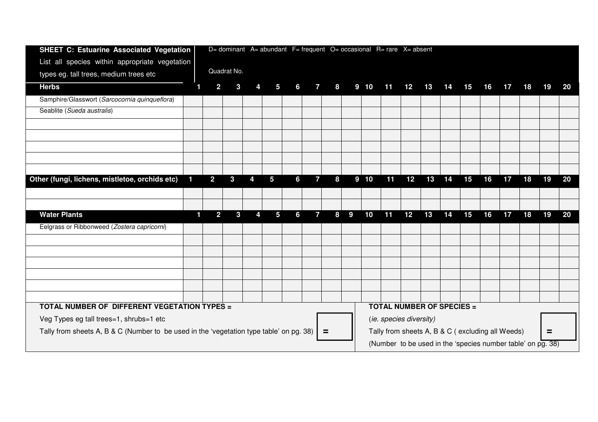| <b>SHEET C: Estuarine Associated Vegetation</b>                                         | D= dominant A= abundant F= frequent O= occasional R= rare X= absent |                |             |   |   |   |                |          |   |                 |    |                                                  |    |    |    |    |    |    |          |           |
|-----------------------------------------------------------------------------------------|---------------------------------------------------------------------|----------------|-------------|---|---|---|----------------|----------|---|-----------------|----|--------------------------------------------------|----|----|----|----|----|----|----------|-----------|
| List all species within appropriate vegetation                                          |                                                                     |                |             |   |   |   |                |          |   |                 |    |                                                  |    |    |    |    |    |    |          |           |
| types eg. tall trees, medium trees etc                                                  |                                                                     |                | Quadrat No. |   |   |   |                |          |   |                 |    |                                                  |    |    |    |    |    |    |          |           |
| <b>Herbs</b>                                                                            | 1                                                                   | $\overline{2}$ | 3           |   | 5 | 6 | $\mathbf{7}$   | 8        |   | 9 <sub>10</sub> | 11 | 12                                               | 13 | 14 | 15 | 16 | 17 | 18 | 19       | <b>20</b> |
| Samphire/Glasswort (Sarcocornia quinqueflora)                                           |                                                                     |                |             |   |   |   |                |          |   |                 |    |                                                  |    |    |    |    |    |    |          |           |
| Seablite (Sueda australis)                                                              |                                                                     |                |             |   |   |   |                |          |   |                 |    |                                                  |    |    |    |    |    |    |          |           |
|                                                                                         |                                                                     |                |             |   |   |   |                |          |   |                 |    |                                                  |    |    |    |    |    |    |          |           |
|                                                                                         |                                                                     |                |             |   |   |   |                |          |   |                 |    |                                                  |    |    |    |    |    |    |          |           |
|                                                                                         |                                                                     |                |             |   |   |   |                |          |   |                 |    |                                                  |    |    |    |    |    |    |          |           |
|                                                                                         |                                                                     |                |             |   |   |   |                |          |   |                 |    |                                                  |    |    |    |    |    |    |          |           |
|                                                                                         |                                                                     |                |             |   |   |   |                |          |   |                 |    |                                                  |    |    |    |    |    |    |          |           |
| Other (fungi, lichens, mistletoe, orchids etc)                                          | 1                                                                   | $\overline{2}$ | 3           | 4 | 5 | 6 | $\overline{7}$ | 8        |   | 9 <sub>10</sub> | 11 | 12                                               | 13 | 14 | 15 | 16 | 17 | 18 | 19       | 20        |
|                                                                                         |                                                                     |                |             |   |   |   |                |          |   |                 |    |                                                  |    |    |    |    |    |    |          |           |
|                                                                                         |                                                                     |                |             |   |   |   |                |          |   |                 |    |                                                  |    |    |    |    |    |    |          |           |
| <b>Water Plants</b>                                                                     | 1                                                                   | $\overline{2}$ | 3           | 4 | 5 | 6 | $\overline{7}$ | 8        | 9 | 10              | 11 | 12                                               | 13 | 14 | 15 | 16 | 17 | 18 | 19       | 20        |
| Eelgrass or Ribbonweed (Zostera capricorni)                                             |                                                                     |                |             |   |   |   |                |          |   |                 |    |                                                  |    |    |    |    |    |    |          |           |
|                                                                                         |                                                                     |                |             |   |   |   |                |          |   |                 |    |                                                  |    |    |    |    |    |    |          |           |
|                                                                                         |                                                                     |                |             |   |   |   |                |          |   |                 |    |                                                  |    |    |    |    |    |    |          |           |
|                                                                                         |                                                                     |                |             |   |   |   |                |          |   |                 |    |                                                  |    |    |    |    |    |    |          |           |
|                                                                                         |                                                                     |                |             |   |   |   |                |          |   |                 |    |                                                  |    |    |    |    |    |    |          |           |
|                                                                                         |                                                                     |                |             |   |   |   |                |          |   |                 |    |                                                  |    |    |    |    |    |    |          |           |
|                                                                                         |                                                                     |                |             |   |   |   |                |          |   |                 |    |                                                  |    |    |    |    |    |    |          |           |
| TOTAL NUMBER OF DIFFERENT VEGETATION TYPES =                                            |                                                                     |                |             |   |   |   |                |          |   |                 |    | <b>TOTAL NUMBER OF SPECIES =</b>                 |    |    |    |    |    |    |          |           |
| Veg Types eg tall trees=1, shrubs=1 etc                                                 |                                                                     |                |             |   |   |   |                |          |   |                 |    | (ie. species diversity)                          |    |    |    |    |    |    |          |           |
| Tally from sheets A, B & C (Number to be used in the 'vegetation type table' on pg. 38) |                                                                     |                |             |   |   |   |                | $\equiv$ |   |                 |    | Tally from sheets A, B & C (excluding all Weeds) |    |    |    |    |    |    | $\equiv$ |           |
| (Number to be used in the 'species number table' on pg. 38)                             |                                                                     |                |             |   |   |   |                |          |   |                 |    |                                                  |    |    |    |    |    |    |          |           |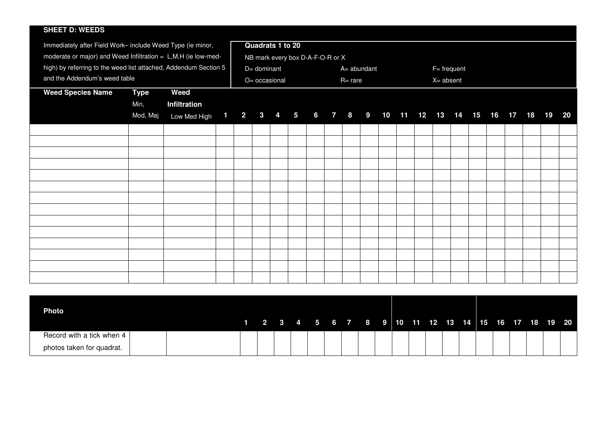#### **SHEET D: WEEDS**

| Immediately after Field Work- include Weed Type (ie minor,       |             |                                                              |  |               | Quadrats 1 to 20 |  |                                  |  |            |             |  |                 |  |  |  |    |
|------------------------------------------------------------------|-------------|--------------------------------------------------------------|--|---------------|------------------|--|----------------------------------|--|------------|-------------|--|-----------------|--|--|--|----|
| moderate or major) and Weed Infiltration = $L,M,H$ (ie low-med-  |             |                                                              |  |               |                  |  | NB mark every box D-A-F-O-R or X |  |            |             |  |                 |  |  |  |    |
| high) by referring to the weed list attached, Addendum Section 5 |             |                                                              |  | $D=$ dominant |                  |  |                                  |  |            | A= abundant |  | $F = frequency$ |  |  |  |    |
| and the Addendum's weed table                                    |             |                                                              |  |               |                  |  |                                  |  |            |             |  |                 |  |  |  |    |
|                                                                  |             |                                                              |  |               | O= occasional    |  |                                  |  | $R = rare$ |             |  | $X =$ absent    |  |  |  |    |
| <b>Weed Species Name</b>                                         | <b>Type</b> | Weed                                                         |  |               |                  |  |                                  |  |            |             |  |                 |  |  |  |    |
|                                                                  | Min,        | Infiltration                                                 |  |               |                  |  |                                  |  |            |             |  |                 |  |  |  |    |
|                                                                  | Mod, Maj    | Low Med High 1 2 3 4 5 6 7 8 9 10 11 12 13 14 15 16 17 18 19 |  |               |                  |  |                                  |  |            |             |  |                 |  |  |  | 20 |
|                                                                  |             |                                                              |  |               |                  |  |                                  |  |            |             |  |                 |  |  |  |    |
|                                                                  |             |                                                              |  |               |                  |  |                                  |  |            |             |  |                 |  |  |  |    |
|                                                                  |             |                                                              |  |               |                  |  |                                  |  |            |             |  |                 |  |  |  |    |
|                                                                  |             |                                                              |  |               |                  |  |                                  |  |            |             |  |                 |  |  |  |    |
|                                                                  |             |                                                              |  |               |                  |  |                                  |  |            |             |  |                 |  |  |  |    |
|                                                                  |             |                                                              |  |               |                  |  |                                  |  |            |             |  |                 |  |  |  |    |
|                                                                  |             |                                                              |  |               |                  |  |                                  |  |            |             |  |                 |  |  |  |    |
|                                                                  |             |                                                              |  |               |                  |  |                                  |  |            |             |  |                 |  |  |  |    |
|                                                                  |             |                                                              |  |               |                  |  |                                  |  |            |             |  |                 |  |  |  |    |
|                                                                  |             |                                                              |  |               |                  |  |                                  |  |            |             |  |                 |  |  |  |    |
|                                                                  |             |                                                              |  |               |                  |  |                                  |  |            |             |  |                 |  |  |  |    |
|                                                                  |             |                                                              |  |               |                  |  |                                  |  |            |             |  |                 |  |  |  |    |
|                                                                  |             |                                                              |  |               |                  |  |                                  |  |            |             |  |                 |  |  |  |    |
|                                                                  |             |                                                              |  |               |                  |  |                                  |  |            |             |  |                 |  |  |  |    |
|                                                                  |             |                                                              |  |               |                  |  |                                  |  |            |             |  |                 |  |  |  |    |
|                                                                  |             |                                                              |  |               |                  |  |                                  |  |            |             |  |                 |  |  |  |    |

| <b>Photo</b>              |  |  |  |  |  |  |  |  |  |  |  |                                                      |
|---------------------------|--|--|--|--|--|--|--|--|--|--|--|------------------------------------------------------|
|                           |  |  |  |  |  |  |  |  |  |  |  | $1$ 2 3 4 5 6 7 8 9 10 11 12 13 14 15 16 17 18 19 20 |
| Record with a tick when 4 |  |  |  |  |  |  |  |  |  |  |  |                                                      |
| photos taken for quadrat. |  |  |  |  |  |  |  |  |  |  |  |                                                      |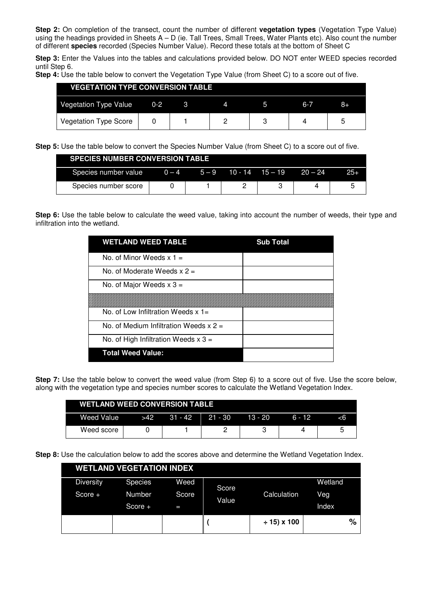**Step 2:** On completion of the transect, count the number of different **vegetation types** (Vegetation Type Value) using the headings provided in Sheets A – D (ie. Tall Trees, Small Trees, Water Plants etc). Also count the number of different **species** recorded (Species Number Value). Record these totals at the bottom of Sheet C

**Step 3:** Enter the Values into the tables and calculations provided below. DO NOT enter WEED species recorded until Step 6.

**Step 4:** Use the table below to convert the Vegetation Type Value (from Sheet C) to a score out of five.

| <b>VEGETATION TYPE CONVERSION TABLE</b> |         |  |     |    |
|-----------------------------------------|---------|--|-----|----|
| Vegetation Type Value                   | $0 - 2$ |  | 6-7 | 8+ |
| <b>Vegetation Type Score</b>            |         |  |     | ᄃ  |

**Step 5:** Use the table below to convert the Species Number Value (from Sheet C) to a score out of five.

|                      | <b>SPECIES NUMBER CONVERSION TABLE</b> |         |                     |  |           |       |  |  |  |  |  |  |  |  |  |
|----------------------|----------------------------------------|---------|---------------------|--|-----------|-------|--|--|--|--|--|--|--|--|--|
| Species number value | $0 - 4$                                | $5 - 9$ | $10 - 14$ $15 - 19$ |  | $20 - 24$ | $25+$ |  |  |  |  |  |  |  |  |  |
| Species number score |                                        |         |                     |  |           |       |  |  |  |  |  |  |  |  |  |

**Step 6:** Use the table below to calculate the weed value, taking into account the number of weeds, their type and infiltration into the wetland.

| <b>WETLAND WEED TABLE</b>              | <b>Sub Total</b> |
|----------------------------------------|------------------|
| No. of Minor Weeds $x =$               |                  |
| No. of Moderate Weeds $x =$            |                  |
| No. of Major Weeds $x$ 3 =             |                  |
|                                        |                  |
| No. of Low Infiltration Weeds $x =$    |                  |
| No. of Medium Infiltration Weeds $x =$ |                  |
| No. of High Infiltration Weeds $x$ 3 = |                  |
| <b>Total Weed Value:</b>               |                  |

**Step 7:** Use the table below to convert the weed value (from Step 6) to a score out of five. Use the score below, along with the vegetation type and species number scores to calculate the Wetland Vegetation Index.

| <b>WETLAND WEED CONVERSION TABLE</b> |     |                   |         |          |  |
|--------------------------------------|-----|-------------------|---------|----------|--|
| Weed Value                           | >42 | $31 - 42$ 21 - 30 | 13 - 20 | $6 - 12$ |  |
| Weed score                           |     |                   |         |          |  |

**Step 8:** Use the calculation below to add the scores above and determine the Wetland Vegetation Index.

|                  | <b>WETLAND VEGETATION INDEX</b> |       |       |                  |         |
|------------------|---------------------------------|-------|-------|------------------|---------|
| <b>Diversity</b> | <b>Species</b>                  | Weed  | Score |                  | Wetland |
| Score $+$        | Number                          | Score | Value | Calculation      | Veg     |
|                  | Score +                         | −     |       |                  | Index   |
|                  |                                 |       |       | $\div$ 15) x 100 | %       |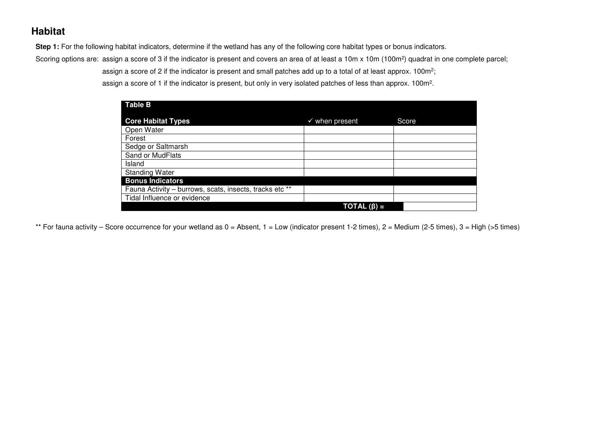## **Habitat**

Step 1: For the following habitat indicators, determine if the wetland has any of the following core habitat types or bonus indicators.

Scoring options are: assign a score of 3 if the indicator is present and covers an area of at least a 10m x 10m (100m<sup>2</sup>) quadrat in one complete parcel;

assign a score of 2 if the indicator is present and small patches add up to a total of at least approx. 100m<sup>2</sup>;

assign a score of 1 if the indicator is present, but only in very isolated patches of less than approx. 100m<sup>2</sup>.

| <b>Table B</b>                                          |                           |       |  |
|---------------------------------------------------------|---------------------------|-------|--|
| <b>Core Habitat Types</b>                               | $\checkmark$ when present | Score |  |
| Open Water                                              |                           |       |  |
| Forest                                                  |                           |       |  |
| Sedge or Saltmarsh                                      |                           |       |  |
| Sand or MudFlats                                        |                           |       |  |
| Island                                                  |                           |       |  |
| <b>Standing Water</b>                                   |                           |       |  |
| <b>Bonus Indicators</b>                                 |                           |       |  |
| Fauna Activity - burrows, scats, insects, tracks etc ** |                           |       |  |
| Tidal Influence or evidence                             |                           |       |  |
|                                                         | $\mathsf{TOTAL}(\beta) =$ |       |  |

\*\* For fauna activity – Score occurrence for your wetland as  $0 =$  Absent,  $1 =$  Low (indicator present 1-2 times),  $2 =$  Medium (2-5 times),  $3 =$  High (>5 times)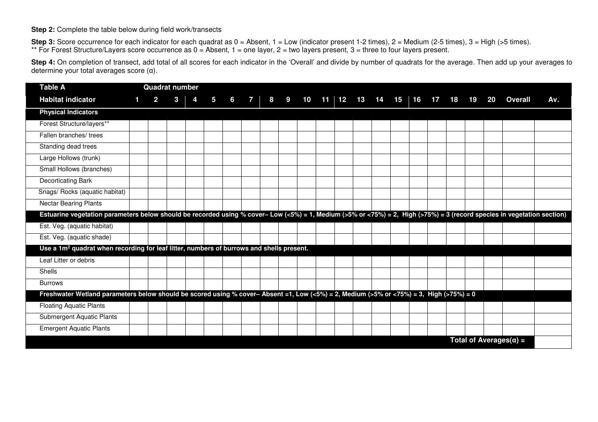#### **Step 2:** Complete the table below during field work/transects

Step 3: Score occurrence for each indicator for each quadrat as 0 = Absent, 1 = Low (indicator present 1-2 times), 2 = Medium (2-5 times), 3 = High (>5 times). \*\* For Forest Structure/Layers score occurrence as 0 = Absent, 1 = one layer, 2 = two layers present, 3 = three to four layers present.

Step 4: On completion of transect, add total of all scores for each indicator in the 'Overall' and divide by number of quadrats for the average. Then add up your averages to determine your total averages score (α).

| <b>Table A</b>                                                                                                                                                          | <b>Quadrat number</b> |   |  |  |   |    |    |         |    |    |    |    |    |    |    |    |                                 |     |
|-------------------------------------------------------------------------------------------------------------------------------------------------------------------------|-----------------------|---|--|--|---|----|----|---------|----|----|----|----|----|----|----|----|---------------------------------|-----|
| <b>Habitat indicator</b>                                                                                                                                                | $\mathbf 2$           | 3 |  |  | 8 | 10 | 11 | $12 \,$ | 13 | 14 | 15 | 16 | 17 | 18 | 19 | 20 | <b>Overall</b>                  | Av. |
| <b>Physical Indicators</b>                                                                                                                                              |                       |   |  |  |   |    |    |         |    |    |    |    |    |    |    |    |                                 |     |
| Forest Structure/layers**                                                                                                                                               |                       |   |  |  |   |    |    |         |    |    |    |    |    |    |    |    |                                 |     |
| Fallen branches/ trees                                                                                                                                                  |                       |   |  |  |   |    |    |         |    |    |    |    |    |    |    |    |                                 |     |
| Standing dead trees                                                                                                                                                     |                       |   |  |  |   |    |    |         |    |    |    |    |    |    |    |    |                                 |     |
| Large Hollows (trunk)                                                                                                                                                   |                       |   |  |  |   |    |    |         |    |    |    |    |    |    |    |    |                                 |     |
| Small Hollows (branches)                                                                                                                                                |                       |   |  |  |   |    |    |         |    |    |    |    |    |    |    |    |                                 |     |
| Decorticating Bark                                                                                                                                                      |                       |   |  |  |   |    |    |         |    |    |    |    |    |    |    |    |                                 |     |
| Snags/ Rocks (aquatic habitat)                                                                                                                                          |                       |   |  |  |   |    |    |         |    |    |    |    |    |    |    |    |                                 |     |
| <b>Nectar Bearing Plants</b>                                                                                                                                            |                       |   |  |  |   |    |    |         |    |    |    |    |    |    |    |    |                                 |     |
| Estuarine vegetation parameters below should be recorded using % cover- Low (<5%) = 1, Medium (>5% or <75%) = 2, High (>75%) = 3 (record species in vegetation section) |                       |   |  |  |   |    |    |         |    |    |    |    |    |    |    |    |                                 |     |
| Est. Veg. (aquatic habitat)                                                                                                                                             |                       |   |  |  |   |    |    |         |    |    |    |    |    |    |    |    |                                 |     |
| Est. Veg. (aquatic shade)                                                                                                                                               |                       |   |  |  |   |    |    |         |    |    |    |    |    |    |    |    |                                 |     |
| Use a 1m <sup>2</sup> quadrat when recording for leaf litter, numbers of burrows and shells present.                                                                    |                       |   |  |  |   |    |    |         |    |    |    |    |    |    |    |    |                                 |     |
| Leaf Litter or debris                                                                                                                                                   |                       |   |  |  |   |    |    |         |    |    |    |    |    |    |    |    |                                 |     |
| Shells                                                                                                                                                                  |                       |   |  |  |   |    |    |         |    |    |    |    |    |    |    |    |                                 |     |
| <b>Burrows</b>                                                                                                                                                          |                       |   |  |  |   |    |    |         |    |    |    |    |    |    |    |    |                                 |     |
| Freshwater Wetland parameters below should be scored using % cover- Absent =1, Low (<5%) = 2, Medium (>5% or <75%) = 3, High (>75%) = 0                                 |                       |   |  |  |   |    |    |         |    |    |    |    |    |    |    |    |                                 |     |
| <b>Floating Aquatic Plants</b>                                                                                                                                          |                       |   |  |  |   |    |    |         |    |    |    |    |    |    |    |    |                                 |     |
| Submergent Aquatic Plants                                                                                                                                               |                       |   |  |  |   |    |    |         |    |    |    |    |    |    |    |    |                                 |     |
| <b>Emergent Aquatic Plants</b>                                                                                                                                          |                       |   |  |  |   |    |    |         |    |    |    |    |    |    |    |    |                                 |     |
|                                                                                                                                                                         |                       |   |  |  |   |    |    |         |    |    |    |    |    |    |    |    | Total of Averages( $\alpha$ ) = |     |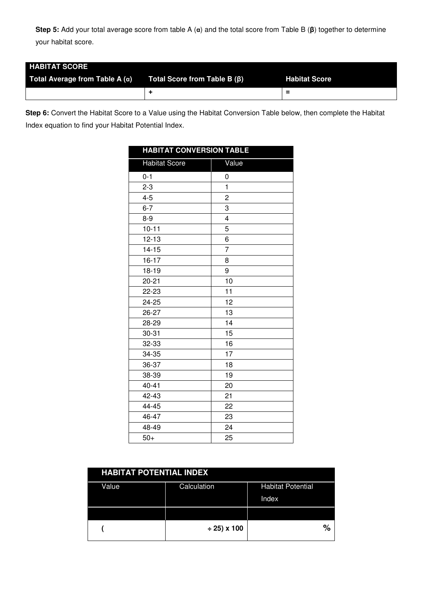**Step 5:** Add your total average score from table A (**α**) and the total score from Table B (**β**) together to determine your habitat score.

| <b>HABITAT SCORE</b>                  |                                    |                      |
|---------------------------------------|------------------------------------|----------------------|
| Total Average from Table A $(\alpha)$ | Total Score from Table B $(\beta)$ | <b>Habitat Score</b> |
|                                       |                                    | -<br>-               |

**Step 6:** Convert the Habitat Score to a Value using the Habitat Conversion Table below, then complete the Habitat Index equation to find your Habitat Potential Index.

| <b>HABITAT CONVERSION TABLE</b> |                         |
|---------------------------------|-------------------------|
| <b>Habitat Score</b>            | Value                   |
| $0 - 1$                         | 0                       |
| $2 - 3$                         | $\mathbf{1}$            |
| $4 - 5$                         | $\overline{\mathbf{c}}$ |
| $6 - 7$                         | 3                       |
| $8-9$                           | 4                       |
| $10 - 11$                       | 5                       |
| $12 - 13$                       | 6                       |
| $14 - 15$                       | $\overline{7}$          |
| $16 - 17$                       | 8                       |
| 18-19                           | 9                       |
| $20 - 21$                       | 10                      |
| 22-23                           | 11                      |
| 24-25                           | 12                      |
| 26-27                           | 13                      |
| 28-29                           | 14                      |
| $30 - 31$                       | 15                      |
| 32-33                           | 16                      |
| 34-35                           | 17                      |
| 36-37                           | 18                      |
| 38-39                           | 19                      |
| $40 - 41$                       | 20                      |
| 42-43                           | 21                      |
| 44-45                           | 22                      |
| 46-47                           | 23                      |
| 48-49                           | 24                      |
| $50+$                           | 25                      |

| <b>HABITAT POTENTIAL INDEX</b> |                  |                          |  |  |  |  |  |  |  |
|--------------------------------|------------------|--------------------------|--|--|--|--|--|--|--|
| Value                          | Calculation      | <b>Habitat Potential</b> |  |  |  |  |  |  |  |
|                                |                  | Index                    |  |  |  |  |  |  |  |
|                                |                  |                          |  |  |  |  |  |  |  |
|                                | $\div$ 25) x 100 | $\%$                     |  |  |  |  |  |  |  |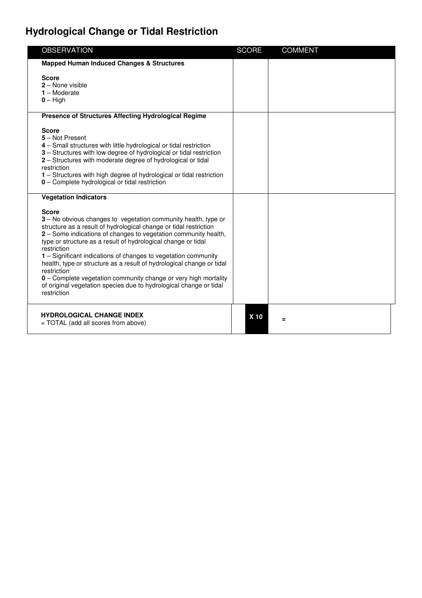# **Hydrological Change or Tidal Restriction**

| <b>OBSERVATION</b>                                                                                                                                                                                                                                                                                                                                                                                                                                                                                                                                                                                                       | <b>SCORE</b> | <b>COMMENT</b> |  |
|--------------------------------------------------------------------------------------------------------------------------------------------------------------------------------------------------------------------------------------------------------------------------------------------------------------------------------------------------------------------------------------------------------------------------------------------------------------------------------------------------------------------------------------------------------------------------------------------------------------------------|--------------|----------------|--|
| <b>Mapped Human Induced Changes &amp; Structures</b>                                                                                                                                                                                                                                                                                                                                                                                                                                                                                                                                                                     |              |                |  |
| <b>Score</b><br>$2 -$ None visible<br>$1 -$ Moderate<br>$0 - High$                                                                                                                                                                                                                                                                                                                                                                                                                                                                                                                                                       |              |                |  |
| <b>Presence of Structures Affecting Hydrological Regime</b>                                                                                                                                                                                                                                                                                                                                                                                                                                                                                                                                                              |              |                |  |
| <b>Score</b><br>5 - Not Present<br>4 – Small structures with little hydrological or tidal restriction<br>3 - Structures with low degree of hydrological or tidal restriction<br>2 - Structures with moderate degree of hydrological or tidal<br>restriction<br>1 - Structures with high degree of hydrological or tidal restriction<br>0 - Complete hydrological or tidal restriction                                                                                                                                                                                                                                    |              |                |  |
| <b>Vegetation Indicators</b>                                                                                                                                                                                                                                                                                                                                                                                                                                                                                                                                                                                             |              |                |  |
| <b>Score</b><br>3 - No obvious changes to vegetation community health, type or<br>structure as a result of hydrological change or tidal restriction<br>2 - Some indications of changes to vegetation community health,<br>type or structure as a result of hydrological change or tidal<br>restriction<br>1 - Significant indications of changes to vegetation community<br>health, type or structure as a result of hydrological change or tidal<br>restriction<br>0 - Complete vegetation community change or very high mortality<br>of original vegetation species due to hydrological change or tidal<br>restriction |              |                |  |
| <b>HYDROLOGICAL CHANGE INDEX</b><br>= TOTAL (add all scores from above)                                                                                                                                                                                                                                                                                                                                                                                                                                                                                                                                                  | X 10         | =              |  |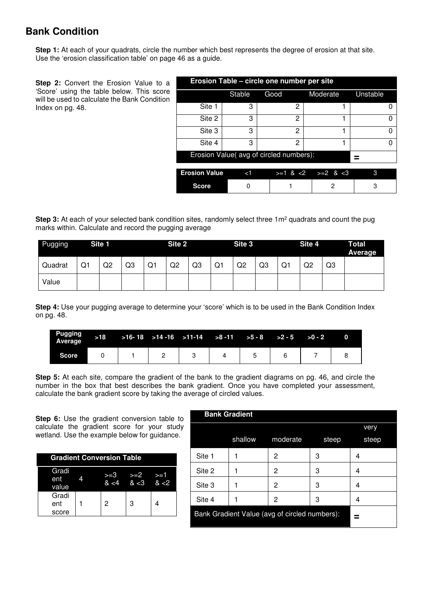# **Bank Condition**

**Step 1:** At each of your quadrats, circle the number which best represents the degree of erosion at that site. Use the 'erosion classification table' on page 46 as a guide.

**Step 2:** Convert the Erosion Value to a 'Score' using the table below. This score will be used to calculate the Bank Condition Index on pg. 48.

| Erosion Table – circle one number per site |          |      |                                 |          |  |  |  |  |  |  |
|--------------------------------------------|----------|------|---------------------------------|----------|--|--|--|--|--|--|
|                                            | Stable   | Good | Moderate                        | Unstable |  |  |  |  |  |  |
| Site 1                                     | 3        | 2    |                                 |          |  |  |  |  |  |  |
| Site 2                                     | 3        | 2    |                                 |          |  |  |  |  |  |  |
| Site 3                                     | з        | 2    |                                 | Ω        |  |  |  |  |  |  |
| Site 4                                     | 3        | 2    |                                 | 0        |  |  |  |  |  |  |
| Erosion Value(avg of circled numbers):     |          |      |                                 |          |  |  |  |  |  |  |
| <b>Erosion Value</b>                       | $\leq$ 1 |      | $> = 1$ & $< 2$ $> = 2$ & $< 3$ | З        |  |  |  |  |  |  |

**Score** 0 1 1 2 3

**Step 3:** At each of your selected bank condition sites, randomly select three 1m<sup>2</sup> quadrats and count the pug marks within. Calculate and record the pugging average

| Pugging |    | Site 1 |    |    | Site 2 |    |    | Site 3         |                |    | Site 4         |    | Total<br><b>Average</b> |
|---------|----|--------|----|----|--------|----|----|----------------|----------------|----|----------------|----|-------------------------|
| Quadrat | Q1 | Q2     | Q3 | Q1 | Q2     | Q3 | Q1 | Q <sub>2</sub> | Q <sub>3</sub> | Q1 | Q <sub>2</sub> | Q3 |                         |
| Value   |    |        |    |    |        |    |    |                |                |    |                |    |                         |

**Step 4:** Use your pugging average to determine your 'score' which is to be used in the Bank Condition Index on pg. 48.

| Pugging<br>Average |  | $>18$ $>16-18$ $>14-16$ $>11-14$ $>8-11$ $>5-8$ $>2-5$ $>0-2$ |  |  |  |
|--------------------|--|---------------------------------------------------------------|--|--|--|
| Score              |  |                                                               |  |  |  |

**Step 5:** At each site, compare the gradient of the bank to the gradient diagrams on pg. 46, and circle the number in the box that best describes the bank gradient. Once you have completed your assessment, calculate the bank gradient score by taking the average of circled values.

**Step 6:** Use the gradient conversion table to calculate the gradient score for your study wetland. Use the example below for guidance.

| <b>Gradient Conversion Table</b> |  |   |                               |     |  |  |  |  |
|----------------------------------|--|---|-------------------------------|-----|--|--|--|--|
| Gradi<br>ent<br>value            |  |   | >2<br>$8 < 4$ $8 < 3$ $8 < 2$ | >=1 |  |  |  |  |
| Gradi<br>ent<br>score            |  | 2 | 3                             |     |  |  |  |  |

| <b>Bank Gradient</b>                          |         |          |       |       |  |  |  |  |  |  |
|-----------------------------------------------|---------|----------|-------|-------|--|--|--|--|--|--|
|                                               |         |          |       | very  |  |  |  |  |  |  |
|                                               | shallow | moderate | steep | steep |  |  |  |  |  |  |
| Site 1                                        |         | 2        | З     | 4     |  |  |  |  |  |  |
| Site 2                                        |         | 2        | З     | 4     |  |  |  |  |  |  |
| Site 3                                        |         | 2        | 3     | 4     |  |  |  |  |  |  |
| Site 4                                        |         | 2        | 3     | 4     |  |  |  |  |  |  |
| Bank Gradient Value (avg of circled numbers): |         |          |       |       |  |  |  |  |  |  |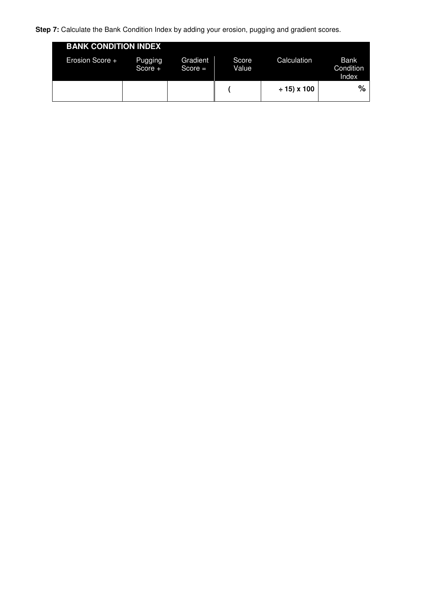**Step 7:** Calculate the Bank Condition Index by adding your erosion, pugging and gradient scores.

| <b>BANK CONDITION INDEX</b> |                      |                       |                |                |                                   |
|-----------------------------|----------------------|-----------------------|----------------|----------------|-----------------------------------|
| Erosion Score +             | Pugging<br>Score $+$ | Gradient<br>$Score =$ | Score<br>Value | Calculation    | <b>Bank</b><br>Condition<br>Index |
|                             |                      |                       |                | $± 15$ ) x 100 | $\%$                              |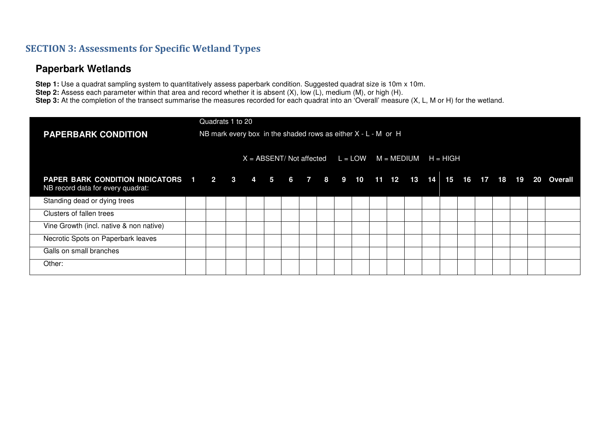#### **SECTION 3: Assessments for Specific Wetland Types**

#### **Paperbark Wetlands**

**Step 1:** Use a quadrat sampling system to quantitatively assess paperbark condition. Suggested quadrat size is 10m x 10m. **Step 2:** Assess each parameter within that area and record whether it is absent (X), low (L), medium (M), or high (H). Step 3: At the completion of the transect summarise the measures recorded for each quadrat into an 'Overall' measure (X, L, M or H) for the wetland.

|                                                                                                                                 |  | Quadrats 1 to 20                                                |                                                               |  |  |  |  |  |  |  |  |  |
|---------------------------------------------------------------------------------------------------------------------------------|--|-----------------------------------------------------------------|---------------------------------------------------------------|--|--|--|--|--|--|--|--|--|
| <b>PAPERBARK CONDITION</b>                                                                                                      |  | NB mark every box in the shaded rows as either $X - L - M$ or H |                                                               |  |  |  |  |  |  |  |  |  |
|                                                                                                                                 |  |                                                                 | $X = ABSENT/Mot$ affected $L = LOW \t M = MEDIUM \t H = HIGH$ |  |  |  |  |  |  |  |  |  |
| PAPER BARK CONDITION INDICATORS 1 2 3 4 5 6 7 8 9 10 11 12 13 14 15 16 17 18 19 20 Overall<br>NB record data for every quadrat: |  |                                                                 |                                                               |  |  |  |  |  |  |  |  |  |
| Standing dead or dying trees                                                                                                    |  |                                                                 |                                                               |  |  |  |  |  |  |  |  |  |
| Clusters of fallen trees                                                                                                        |  |                                                                 |                                                               |  |  |  |  |  |  |  |  |  |
| Vine Growth (incl. native & non native)                                                                                         |  |                                                                 |                                                               |  |  |  |  |  |  |  |  |  |
| Necrotic Spots on Paperbark leaves                                                                                              |  |                                                                 |                                                               |  |  |  |  |  |  |  |  |  |
| Galls on small branches                                                                                                         |  |                                                                 |                                                               |  |  |  |  |  |  |  |  |  |
| Other:                                                                                                                          |  |                                                                 |                                                               |  |  |  |  |  |  |  |  |  |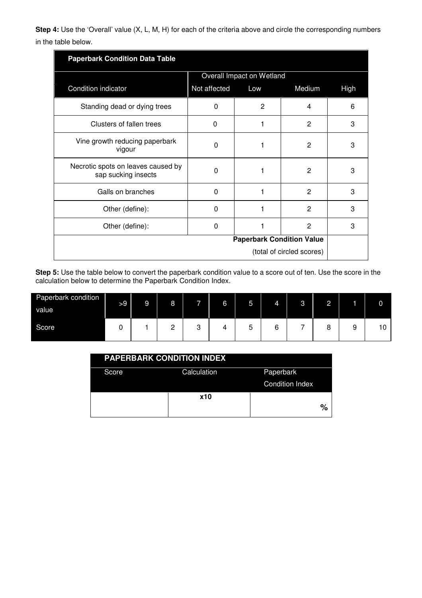**Step 4:** Use the 'Overall' value (X, L, M, H) for each of the criteria above and circle the corresponding numbers in the table below.

| <b>Paperbark Condition Data Table</b>                     |              |                                  |                           |      |
|-----------------------------------------------------------|--------------|----------------------------------|---------------------------|------|
|                                                           |              | Overall Impact on Wetland        |                           |      |
| Condition indicator                                       | Not affected | Low                              | Medium                    | High |
| Standing dead or dying trees                              | $\Omega$     | 2                                | 4                         | 6    |
| Clusters of fallen trees                                  | 0            |                                  | 2                         | 3    |
| Vine growth reducing paperbark<br>vigour                  | 0            | 1                                | 2                         | 3    |
| Necrotic spots on leaves caused by<br>sap sucking insects | $\Omega$     |                                  | 2                         | 3    |
| Galls on branches                                         | $\Omega$     | 1                                | 2                         | 3    |
| Other (define):                                           | $\Omega$     |                                  | 2                         | 3    |
| Other (define):                                           | $\Omega$     |                                  | 2                         | 3    |
|                                                           |              | <b>Paperbark Condition Value</b> |                           |      |
|                                                           |              |                                  | (total of circled scores) |      |

**Step 5:** Use the table below to convert the paperbark condition value to a score out of ten. Use the score in the calculation below to determine the Paperbark Condition Index.

| Paperbark condition<br>value | >9 | 9 | 8             | ĺ      | 6 | 5 | 4      | 3 | $\Omega$<br><b>_</b> |   |    |
|------------------------------|----|---|---------------|--------|---|---|--------|---|----------------------|---|----|
| Score                        |    |   | C<br><u>_</u> | C<br>U |   | ১ | ⌒<br>O | - | O<br>O               | c | 10 |

|       | <b>PAPERBARK CONDITION INDEX</b> |                        |
|-------|----------------------------------|------------------------|
| Score | Calculation                      | Paperbark              |
|       |                                  | <b>Condition Index</b> |
|       | <b>x10</b>                       |                        |
|       |                                  | $\%$                   |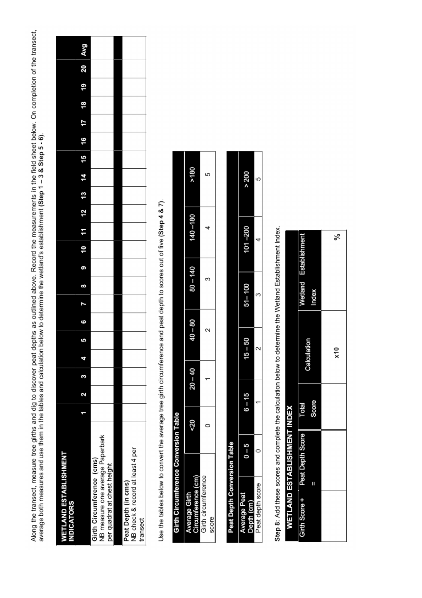Along the transect, measure tree girths and dig to discover peat depths as outlined above. Record the measurements in the field sheet below. On completion of the transect,<br>average both measures and use them in the tables a

| <b>WETLAND ESTABLISHMENT</b><br><b>INDICATORS</b>                                            |  |  |  |  |          |    |    |    |    |    |    |    |    |    |     |
|----------------------------------------------------------------------------------------------|--|--|--|--|----------|----|----|----|----|----|----|----|----|----|-----|
|                                                                                              |  |  |  |  | 11<br>10 | 12 | 13 | 14 | 15 | 16 | 17 | 18 | 19 | 20 | Avg |
| NB measure one average Paperbark<br>Girth Circumference (cms)<br>per quadrat at chest height |  |  |  |  |          |    |    |    |    |    |    |    |    |    |     |
|                                                                                              |  |  |  |  |          |    |    |    |    |    |    |    |    |    |     |
| NB check & record at least 4 per<br>Peat Depth (in cms)<br>transect                          |  |  |  |  |          |    |    |    |    |    |    |    |    |    |     |
|                                                                                              |  |  |  |  |          |    |    |    |    |    |    |    |    |    |     |

Use the tables below to convert the average tree girth circumference and peat depth to scores out of five (Step 4 & 7).

|              | Conversion Table |           |           |            |             |      |
|--------------|------------------|-----------|-----------|------------|-------------|------|
|              | 50               | $20 - 40$ | $40 - 80$ | $80 - 140$ | $140 - 180$ | >180 |
| ere<br>score | ◠                |           | ↘<br>¢    | ო          | 4           | 5    |
|              |                  |           |           |            |             |      |

|         | sion Table |          |           |            |             |       |
|---------|------------|----------|-----------|------------|-------------|-------|
|         | İ          | $3 - 15$ | $15 - 50$ | $51 - 100$ | $101 - 200$ | > 200 |
| 15<br>G |            |          |           |            |             | Ω     |
|         |            |          |           |            |             |       |

Step 8: Add these scores and complete the calculation below to determine the Wetland Establishment Index.

|                                |       | న్  |
|--------------------------------|-------|-----|
| <b>Wetland</b> Establishmer    |       |     |
|                                | xepu  |     |
| Calculation                    |       | x10 |
| Total                          | Score |     |
| Girth Score + Peat Depth Score | Ш     |     |
|                                |       |     |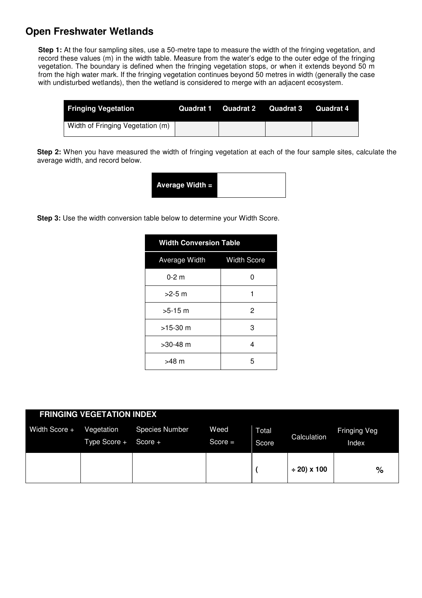#### **Open Freshwater Wetlands**

**Step 1:** At the four sampling sites, use a 50-metre tape to measure the width of the fringing vegetation, and record these values (m) in the width table. Measure from the water's edge to the outer edge of the fringing vegetation. The boundary is defined when the fringing vegetation stops, or when it extends beyond 50 m from the high water mark. If the fringing vegetation continues beyond 50 metres in width (generally the case with undisturbed wetlands), then the wetland is considered to merge with an adjacent ecosystem.

| <b>Fringing Vegetation</b>       | Quadrat 1 | Quadrat 2 | Quadrat 3 | Quadrat 4 |
|----------------------------------|-----------|-----------|-----------|-----------|
| Width of Fringing Vegetation (m) |           |           |           |           |

**Step 2:** When you have measured the width of fringing vegetation at each of the four sample sites, calculate the average width, and record below.

| Average Width = |
|-----------------|
|-----------------|

**Step 3:** Use the width conversion table below to determine your Width Score.

| <b>Width Conversion Table</b> |                    |
|-------------------------------|--------------------|
| Average Width                 | <b>Width Score</b> |
| $0 - 2$ m                     | ŋ                  |
| $>2-5$ m                      |                    |
| $>5-15$ m                     | 2                  |
| $>15-30$ m                    | З                  |
| $>30-48$ m                    | 4                  |
| $>48$ m                       | 5                  |

| <b>FRINGING VEGETATION INDEX</b> |                            |                                    |                   |                |                  |                       |  |  |  |  |
|----------------------------------|----------------------------|------------------------------------|-------------------|----------------|------------------|-----------------------|--|--|--|--|
| Width Score +                    | Vegetation<br>Type Score + | <b>Species Number</b><br>Score $+$ | Weed<br>$Score =$ | Total<br>Score | Calculation      | Fringing Veg<br>Index |  |  |  |  |
|                                  |                            |                                    |                   |                | $\div$ 20) x 100 | %                     |  |  |  |  |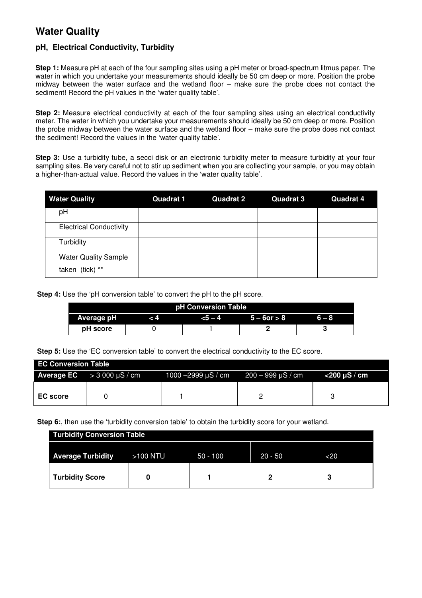#### **Water Quality**

#### **pH, Electrical Conductivity, Turbidity**

**Step 1:** Measure pH at each of the four sampling sites using a pH meter or broad-spectrum litmus paper. The water in which you undertake your measurements should ideally be 50 cm deep or more. Position the probe midway between the water surface and the wetland floor – make sure the probe does not contact the sediment! Record the pH values in the 'water quality table'.

**Step 2:** Measure electrical conductivity at each of the four sampling sites using an electrical conductivity meter. The water in which you undertake your measurements should ideally be 50 cm deep or more. Position the probe midway between the water surface and the wetland floor – make sure the probe does not contact the sediment! Record the values in the 'water quality table'.

**Step 3:** Use a turbidity tube, a secci disk or an electronic turbidity meter to measure turbidity at your four sampling sites. Be very careful not to stir up sediment when you are collecting your sample, or you may obtain a higher-than-actual value. Record the values in the 'water quality table'.

| <b>Water Quality</b>           | <b>Quadrat 1</b> | <b>Quadrat 2</b> | <b>Quadrat 3</b> | <b>Quadrat 4</b> |
|--------------------------------|------------------|------------------|------------------|------------------|
| pH                             |                  |                  |                  |                  |
| <b>Electrical Conductivity</b> |                  |                  |                  |                  |
| Turbidity                      |                  |                  |                  |                  |
| <b>Water Quality Sample</b>    |                  |                  |                  |                  |
| taken (tick) **                |                  |                  |                  |                  |

**Step 4:** Use the 'pH conversion table' to convert the pH to the pH score.

| pH Conversion Table                                               |  |  |  |  |  |  |  |  |  |
|-------------------------------------------------------------------|--|--|--|--|--|--|--|--|--|
| Average pH<br>$5 - 6$ or $> 8$<br>$6 - 8$<br>$-5 - 4$<br>$\leq 4$ |  |  |  |  |  |  |  |  |  |
| <b>pH</b> score                                                   |  |  |  |  |  |  |  |  |  |

**Step 5:** Use the 'EC conversion table' to convert the electrical conductivity to the EC score.

| <b>EC Conversion Table</b> |                                          |                                                          |  |              |  |  |  |  |
|----------------------------|------------------------------------------|----------------------------------------------------------|--|--------------|--|--|--|--|
|                            | <b>Average EC</b> $>$ 3 000 $\mu$ S / cm | $1000 - 2999 \,\mu\text{S/m}$ 200 - 999 $\mu\text{S/cm}$ |  | <200 uS / cm |  |  |  |  |
|                            |                                          |                                                          |  |              |  |  |  |  |
| <b>EC</b> score            |                                          |                                                          |  |              |  |  |  |  |

**Step 6:**, then use the 'turbidity conversion table' to obtain the turbidity score for your wetland.

| <b>Turbidity Conversion Table</b> |          |            |           |     |  |  |  |  |
|-----------------------------------|----------|------------|-----------|-----|--|--|--|--|
| <b>Average Turbidity</b>          | >100 NTU | $50 - 100$ | $20 - 50$ | <20 |  |  |  |  |
| <b>Turbidity Score</b>            |          |            |           | o   |  |  |  |  |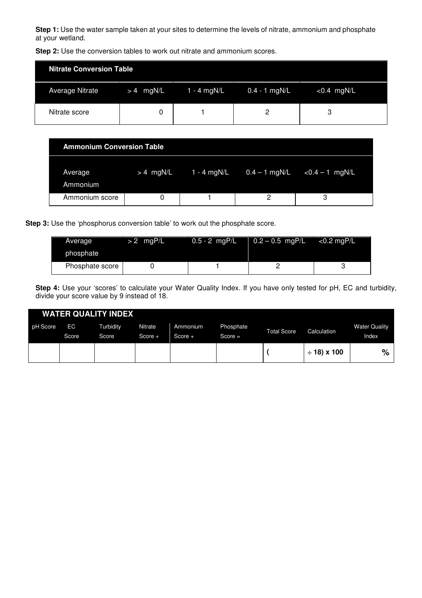**Step 1:** Use the water sample taken at your sites to determine the levels of nitrate, ammonium and phosphate at your wetland.

| <b>Nitrate Conversion Table</b> |             |               |                 |               |  |
|---------------------------------|-------------|---------------|-----------------|---------------|--|
| <b>Average Nitrate</b>          | $> 4$ mgN/L | $1 - 4$ mgN/L | $0.4 - 1$ mgN/L | $< 0.4$ mgN/L |  |
| Nitrate score                   |             |               |                 | ാ             |  |

**Step 2:** Use the conversion tables to work out nitrate and ammonium scores.

| <b>Ammonium Conversion Table</b> |             |             |                 |                   |  |  |  |  |  |
|----------------------------------|-------------|-------------|-----------------|-------------------|--|--|--|--|--|
| <b>Average</b><br>Ammonium       | $> 4$ mgN/L | 1 - 4 mgN/L | $0.4 - 1$ mgN/L | $< 0.4 - 1$ mgN/L |  |  |  |  |  |
| Ammonium score                   |             |             |                 | ◠                 |  |  |  |  |  |

**Step 3:** Use the 'phosphorus conversion table' to work out the phosphate score.

| Average         | $> 2$ mgP/L | $0.5 - 2$ mgP/L | $0.2 - 0.5$ mgP/L | $<$ 0.2 mgP/L |
|-----------------|-------------|-----------------|-------------------|---------------|
| phosphate       |             |                 |                   |               |
| Phosphate score |             |                 |                   |               |

**Step 4:** Use your 'scores' to calculate your Water Quality Index. If you have only tested for pH, EC and turbidity, divide your score value by 9 instead of 18.

|          |             | <b>WATER QUALITY INDEX</b> |                             |                     |                        |                    |                  |                               |
|----------|-------------|----------------------------|-----------------------------|---------------------|------------------------|--------------------|------------------|-------------------------------|
| pH Score | EC<br>Score | Turbidity<br>Score         | <b>Nitrate</b><br>$Score +$ | Ammonium<br>Score + | Phosphate<br>$Score =$ | <b>Total Score</b> | Calculation      | <b>Water Quality</b><br>Index |
|          |             |                            |                             |                     |                        |                    | $\div$ 18) x 100 | $\%$                          |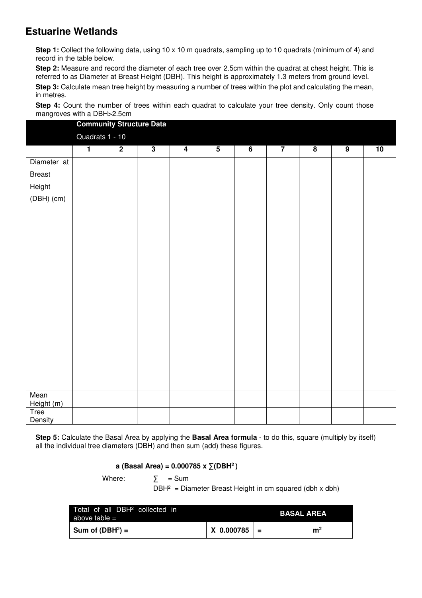# **Estuarine Wetlands**

**Step 1:** Collect the following data, using 10 x 10 m quadrats, sampling up to 10 quadrats (minimum of 4) and record in the table below.

**Step 2:** Measure and record the diameter of each tree over 2.5cm within the quadrat at chest height. This is referred to as Diameter at Breast Height (DBH). This height is approximately 1.3 meters from ground level.

**Step 3:** Calculate mean tree height by measuring a number of trees within the plot and calculating the mean, in metres.

**Step 4:** Count the number of trees within each quadrat to calculate your tree density. Only count those mangroves with a DBH>2.5cm

|                    |                 | <b>Community Structure Data</b> |                         |                         |                         |                |                |                         |                |    |
|--------------------|-----------------|---------------------------------|-------------------------|-------------------------|-------------------------|----------------|----------------|-------------------------|----------------|----|
|                    | Quadrats 1 - 10 |                                 |                         |                         |                         |                |                |                         |                |    |
|                    | $\overline{1}$  | $\overline{2}$                  | $\overline{\mathbf{3}}$ | $\overline{\mathbf{4}}$ | $\overline{\mathbf{5}}$ | $\overline{6}$ | $\overline{7}$ | $\overline{\mathbf{8}}$ | $\overline{9}$ | 10 |
| Diameter at        |                 |                                 |                         |                         |                         |                |                |                         |                |    |
| <b>Breast</b>      |                 |                                 |                         |                         |                         |                |                |                         |                |    |
| Height             |                 |                                 |                         |                         |                         |                |                |                         |                |    |
| $(DBH)$ (cm)       |                 |                                 |                         |                         |                         |                |                |                         |                |    |
|                    |                 |                                 |                         |                         |                         |                |                |                         |                |    |
|                    |                 |                                 |                         |                         |                         |                |                |                         |                |    |
|                    |                 |                                 |                         |                         |                         |                |                |                         |                |    |
|                    |                 |                                 |                         |                         |                         |                |                |                         |                |    |
|                    |                 |                                 |                         |                         |                         |                |                |                         |                |    |
|                    |                 |                                 |                         |                         |                         |                |                |                         |                |    |
|                    |                 |                                 |                         |                         |                         |                |                |                         |                |    |
|                    |                 |                                 |                         |                         |                         |                |                |                         |                |    |
|                    |                 |                                 |                         |                         |                         |                |                |                         |                |    |
|                    |                 |                                 |                         |                         |                         |                |                |                         |                |    |
|                    |                 |                                 |                         |                         |                         |                |                |                         |                |    |
|                    |                 |                                 |                         |                         |                         |                |                |                         |                |    |
|                    |                 |                                 |                         |                         |                         |                |                |                         |                |    |
|                    |                 |                                 |                         |                         |                         |                |                |                         |                |    |
|                    |                 |                                 |                         |                         |                         |                |                |                         |                |    |
|                    |                 |                                 |                         |                         |                         |                |                |                         |                |    |
| Mean<br>Height (m) |                 |                                 |                         |                         |                         |                |                |                         |                |    |
| Tree<br>Density    |                 |                                 |                         |                         |                         |                |                |                         |                |    |

**Step 5:** Calculate the Basal Area by applying the **Basal Area formula** - to do this, square (multiply by itself) all the individual tree diameters (DBH) and then sum (add) these figures.

#### **a (Basal Area) = 0.000785 x ∑(DBH<sup>2</sup>)**

Where:  $\sum$  = Sum

 $DBH<sup>2</sup>$  = Diameter Breast Height in cm squared (dbh x dbh)

| Total of all DBH <sup>2</sup> collected in<br>above table $=$ |                  | <b>BASAL AREA</b> |
|---------------------------------------------------------------|------------------|-------------------|
| Sum of (DBH <sup>2</sup> ) =                                  | $X$ 0.000785 $=$ | m <sup>2</sup>    |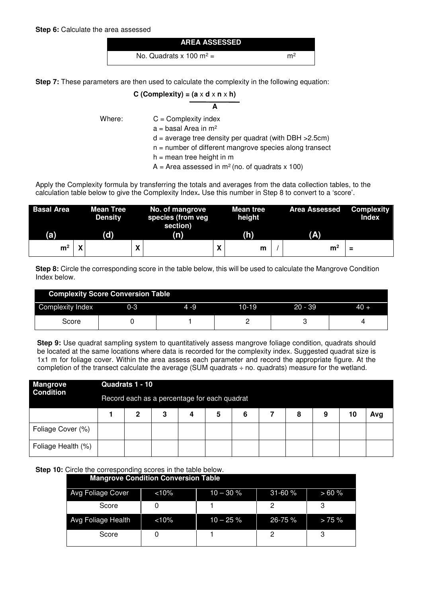

 **A**

**Step 7:** These parameters are then used to calculate the complexity in the following equation:

$$
C (Complexity) = (a \times d \times n \times h)
$$

Where:  $C =$  Complexity index

 $a = b$ asal Area in m<sup>2</sup>

 $d = average tree density per quadrant (with DBH > 2.5cm)$ 

n = number of different mangrove species along transect

 $h =$  mean tree height in m

 $A =$  Area assessed in m<sup>2</sup> (no. of quadrats x 100)

Apply the Complexity formula by transferring the totals and averages from the data collection tables, to the calculation table below to give the Complexity Index**.** Use this number in Step 8 to convert to a 'score'.

| <b>Basal Area</b> |        | <b>Mean Tree</b><br><b>Density</b> | No. of mangrove<br>species (from veg<br>section) |     | <b>Mean tree</b><br>height |  | <b>Area Assessed</b> | <b>Complexity</b><br><b>Index</b> |
|-------------------|--------|------------------------------------|--------------------------------------------------|-----|----------------------------|--|----------------------|-----------------------------------|
| (a)               |        | (d)                                |                                                  | (n) | (h)                        |  | (A)                  |                                   |
| m                 | v<br>Λ |                                    | v                                                |     | m                          |  | m <sup>2</sup>       | =                                 |

**Step 8:** Circle the corresponding score in the table below, this will be used to calculate the Mangrove Condition Index below.

| <b>Complexity Score Conversion Table</b> |         |       |         |           |        |  |  |
|------------------------------------------|---------|-------|---------|-----------|--------|--|--|
| Complexity Index                         | $0 - 3$ | 4 - 9 | $10-19$ | $20 - 39$ | $40 +$ |  |  |
| Score                                    |         |       |         |           |        |  |  |

**Step 9:** Use quadrat sampling system to quantitatively assess mangrove foliage condition, quadrats should be located at the same locations where data is recorded for the complexity index. Suggested quadrat size is 1x1 m for foliage cover. Within the area assess each parameter and record the appropriate figure. At the completion of the transect calculate the average (SUM quadrats ÷ no. quadrats) measure for the wetland.

| <b>Mangrove</b>    | Quadrats 1 - 10                              |   |  |   |   |  |   |   |    |     |
|--------------------|----------------------------------------------|---|--|---|---|--|---|---|----|-----|
| <b>Condition</b>   | Record each as a percentage for each quadrat |   |  |   |   |  |   |   |    |     |
|                    | 2                                            | 3 |  | 5 | 6 |  | 8 | 9 | 10 | Avg |
| Foliage Cover (%)  |                                              |   |  |   |   |  |   |   |    |     |
| Foliage Health (%) |                                              |   |  |   |   |  |   |   |    |     |

**Step 10:** Circle the corresponding scores in the table below.

|                    | <b>Mangrove Condition Conversion Table</b> |              |              |           |
|--------------------|--------------------------------------------|--------------|--------------|-----------|
| Avg Foliage Cover  | $< 10\%$                                   | $10 - 30 \%$ | $31 - 60%$   | >60%      |
| Score              |                                            |              |              |           |
| Avg Foliage Health | $< 10\%$                                   | $10 - 25 \%$ | $26 - 75 \%$ | $> 75 \%$ |
| Score              |                                            |              |              |           |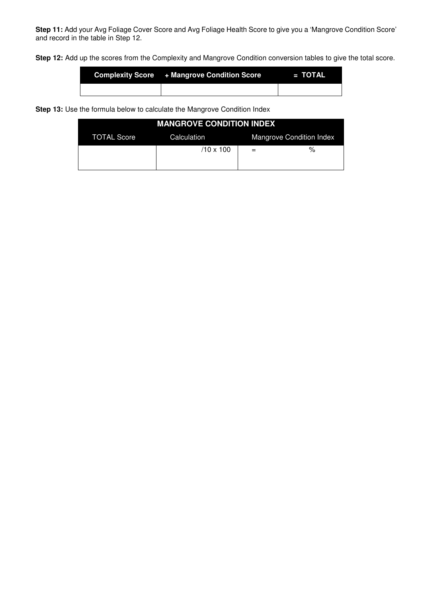**Step 11:** Add your Avg Foliage Cover Score and Avg Foliage Health Score to give you a 'Mangrove Condition Score' and record in the table in Step 12.

**Step 12:** Add up the scores from the Complexity and Mangrove Condition conversion tables to give the total score.

| Complexity Score + Mangrove Condition Score | $\blacksquare$ = TOTAL |
|---------------------------------------------|------------------------|
|                                             |                        |

**Step 13:** Use the formula below to calculate the Mangrove Condition Index

| <b>MANGROVE CONDITION INDEX</b> |                  |     |                          |  |  |  |
|---------------------------------|------------------|-----|--------------------------|--|--|--|
| <b>TOTAL Score</b>              | Calculation      |     | Mangrove Condition Index |  |  |  |
|                                 | $/10 \times 100$ | $=$ | $\%$                     |  |  |  |
|                                 |                  |     |                          |  |  |  |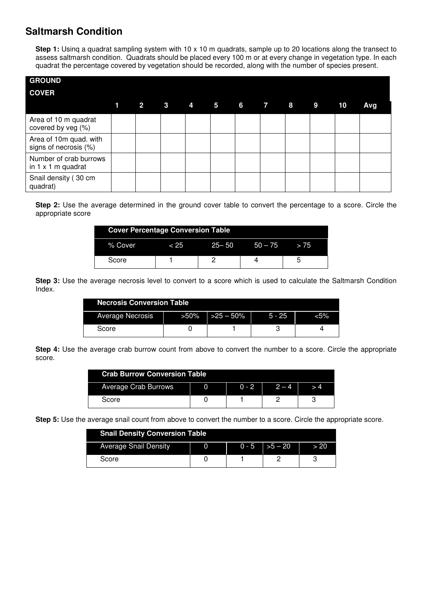#### **Saltmarsh Condition**

**Step 1:** Usinq a quadrat sampling system with 10 x 10 m quadrats, sample up to 20 locations along the transect to assess saltmarsh condition. Quadrats should be placed every 100 m or at every change in vegetation type. In each quadrat the percentage covered by vegetation should be recorded, along with the number of species present.

| <b>GROUND</b>                                       |   |                |  |               |  |  |    |     |
|-----------------------------------------------------|---|----------------|--|---------------|--|--|----|-----|
| <b>COVER</b>                                        |   |                |  |               |  |  |    |     |
|                                                     | 1 | 2 <sup>1</sup> |  | 3 4 5 6 7 8 9 |  |  | 10 | Avg |
| Area of 10 m quadrat<br>covered by veg (%)          |   |                |  |               |  |  |    |     |
| Area of 10m quad. with<br>signs of necrosis (%)     |   |                |  |               |  |  |    |     |
| Number of crab burrows<br>in $1 \times 1$ m quadrat |   |                |  |               |  |  |    |     |
| Snail density (30 cm<br>quadrat)                    |   |                |  |               |  |  |    |     |

**Step 2:** Use the average determined in the ground cover table to convert the percentage to a score. Circle the appropriate score

|         | <b>Cover Percentage Conversion Table</b> |        |                |  |  |  |  |
|---------|------------------------------------------|--------|----------------|--|--|--|--|
| % Cover | - 25                                     | -25–50 | $50 - 75 > 75$ |  |  |  |  |
| Score   |                                          |        |                |  |  |  |  |

**Step 3:** Use the average necrosis level to convert to a score which is used to calculate the Saltmarsh Condition Index.

| <b>Necrosis Conversion Table</b> |         |            |          |     |  |  |
|----------------------------------|---------|------------|----------|-----|--|--|
| Average Necrosis                 | $>50\%$ | $>25-50\%$ | $5 - 25$ | 5%> |  |  |
| Score                            |         |            |          |     |  |  |

**Step 4:** Use the average crab burrow count from above to convert the number to a score. Circle the appropriate score.

| <b>Crab Burrow Conversion Table</b> |  |         |         |  |  |
|-------------------------------------|--|---------|---------|--|--|
| <b>Average Crab Burrows</b>         |  | $0 - 2$ | $2 - 4$ |  |  |
| Score                               |  |         |         |  |  |

**Step 5:** Use the average snail count from above to convert the number to a score. Circle the appropriate score.

| <b>Snail Density Conversion Table</b> |  |  |                              |      |  |  |
|---------------------------------------|--|--|------------------------------|------|--|--|
| <b>Average Snail Density</b>          |  |  | $0 - 5$ $\rightarrow 5 - 20$ | > 20 |  |  |
| Score                                 |  |  |                              |      |  |  |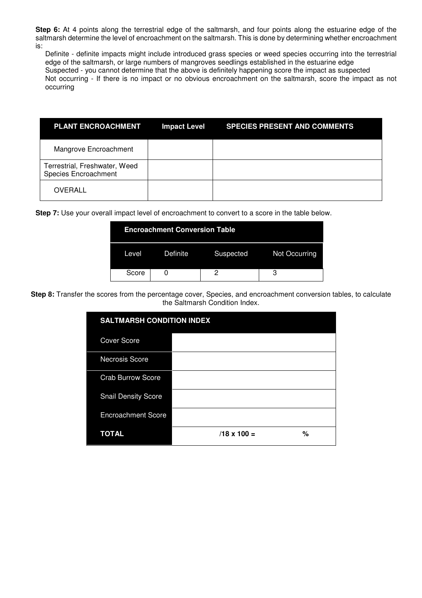**Step 6:** At 4 points along the terrestrial edge of the saltmarsh, and four points along the estuarine edge of the saltmarsh determine the level of encroachment on the saltmarsh. This is done by determining whether encroachment is:

Definite - definite impacts might include introduced grass species or weed species occurring into the terrestrial edge of the saltmarsh, or large numbers of mangroves seedlings established in the estuarine edge Suspected - you cannot determine that the above is definitely happening score the impact as suspected Not occurring - If there is no impact or no obvious encroachment on the saltmarsh, score the impact as not occurring

| <b>PLANT ENCROACHMENT</b>                             | <b>Impact Level</b> | <b>SPECIES PRESENT AND COMMENTS</b> |
|-------------------------------------------------------|---------------------|-------------------------------------|
| Mangrove Encroachment                                 |                     |                                     |
| Terrestrial, Freshwater, Weed<br>Species Encroachment |                     |                                     |
| <b>OVERALL</b>                                        |                     |                                     |

**Step 7:** Use your overall impact level of encroachment to convert to a score in the table below.

|       | <b>Encroachment Conversion Table</b> |  |                         |  |  |  |  |
|-------|--------------------------------------|--|-------------------------|--|--|--|--|
| Level | Definite                             |  | Suspected Not Occurring |  |  |  |  |
| Score |                                      |  |                         |  |  |  |  |

**Step 8:** Transfer the scores from the percentage cover, Species, and encroachment conversion tables, to calculate the Saltmarsh Condition Index.

| <b>SALTMARSH CONDITION INDEX</b> |                    |   |  |  |  |
|----------------------------------|--------------------|---|--|--|--|
| <b>Cover Score</b>               |                    |   |  |  |  |
| Necrosis Score                   |                    |   |  |  |  |
| <b>Crab Burrow Score</b>         |                    |   |  |  |  |
| <b>Snail Density Score</b>       |                    |   |  |  |  |
| <b>Encroachment Score</b>        |                    |   |  |  |  |
| <b>TOTAL</b>                     | $/18 \times 100 =$ | % |  |  |  |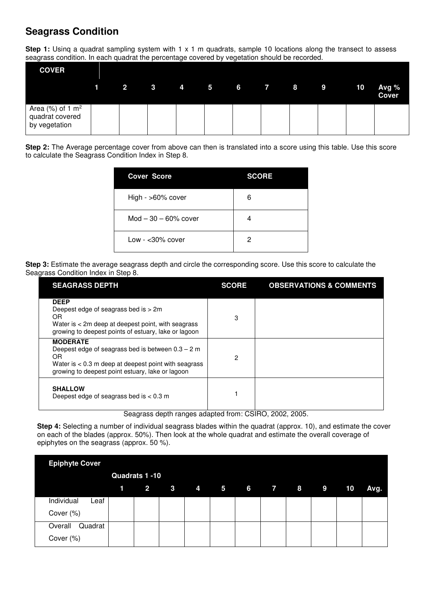# **Seagrass Condition**

**Step 1:** Using a quadrat sampling system with 1 x 1 m quadrats, sample 10 locations along the transect to assess seagrass condition. In each quadrat the percentage covered by vegetation should be recorded.

| <b>COVER</b>                                                        |  |  |                        |  |  |                       |
|---------------------------------------------------------------------|--|--|------------------------|--|--|-----------------------|
|                                                                     |  |  | $1$ 2 3 4 5 6 7 8 9 10 |  |  | Avg %<br><b>Cover</b> |
| Area $(\%)$ of 1 m <sup>2</sup><br>quadrat covered<br>by vegetation |  |  |                        |  |  |                       |

**Step 2:** The Average percentage cover from above can then is translated into a score using this table. Use this score to calculate the Seagrass Condition Index in Step 8.

| <b>Cover Score</b>      | <b>SCORE</b> |
|-------------------------|--------------|
| High - >60% cover       | 6            |
| $Mod - 30 - 60\%$ cover | 4            |
| Low - $<$ 30% cover     | 2            |

**Step 3:** Estimate the average seagrass depth and circle the corresponding score. Use this score to calculate the Seagrass Condition Index in Step 8.

| <b>SEAGRASS DEPTH</b>                                                                                                                                                                       | <b>SCORE</b> | <b>OBSERVATIONS &amp; COMMENTS</b> |
|---------------------------------------------------------------------------------------------------------------------------------------------------------------------------------------------|--------------|------------------------------------|
| <b>DEEP</b><br>Deepest edge of seagrass bed is > 2m<br>OR<br>Water is $<$ 2m deep at deepest point, with seagrass<br>growing to deepest points of estuary, lake or lagoon                   | 3            |                                    |
| <b>MODERATE</b><br>Deepest edge of seagrass bed is between $0.3 - 2$ m<br>OR.<br>Water is $< 0.3$ m deep at deepest point with seagrass<br>growing to deepest point estuary, lake or lagoon | 2            |                                    |
| <b>SHALLOW</b><br>Deepest edge of seagrass bed is $< 0.3$ m                                                                                                                                 |              |                                    |

Seagrass depth ranges adapted from: CSIRO, 2002, 2005.

**Step 4:** Selecting a number of individual seagrass blades within the quadrat (approx. 10), and estimate the cover on each of the blades (approx. 50%). Then look at the whole quadrat and estimate the overall coverage of epiphytes on the seagrass (approx. 50 %).

| <b>Epiphyte Cover</b> |                |         |   |                         |  |  |    |      |
|-----------------------|----------------|---------|---|-------------------------|--|--|----|------|
|                       | Quadrats 1 -10 |         |   |                         |  |  |    |      |
|                       | $1 \t2$        | $3 - 3$ | 4 | $5 \t 6 \t 7 \t 8 \t 9$ |  |  | 10 | Avg. |
| Individual<br>Leaf    |                |         |   |                         |  |  |    |      |
| Cover (%)             |                |         |   |                         |  |  |    |      |
| Overall<br>Quadrat    |                |         |   |                         |  |  |    |      |
| Cover (%)             |                |         |   |                         |  |  |    |      |